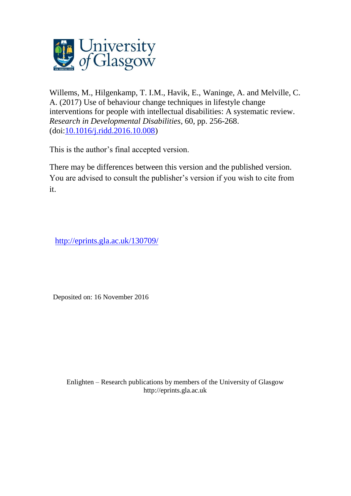

Willems, M., Hilgenkamp, T. I.M., Havik, E., Waninge, A. and Melville, C. A. (2017) Use of behaviour change techniques in lifestyle change interventions for people with intellectual disabilities: A systematic review. *Research in Developmental Disabilities*, 60, pp. 256-268. (doi[:10.1016/j.ridd.2016.10.008\)](http://dx.doi.org/10.1016/j.ridd.2016.10.008)

This is the author's final accepted version.

There may be differences between this version and the published version. You are advised to consult the publisher's version if you wish to cite from it.

<http://eprints.gla.ac.uk/130709/>

Deposited on: 16 November 2016

Enlighten – Research publications by members of the University of Glasgo[w](http://eprints.gla.ac.uk/) [http://eprints.gla.ac.uk](http://eprints.gla.ac.uk/)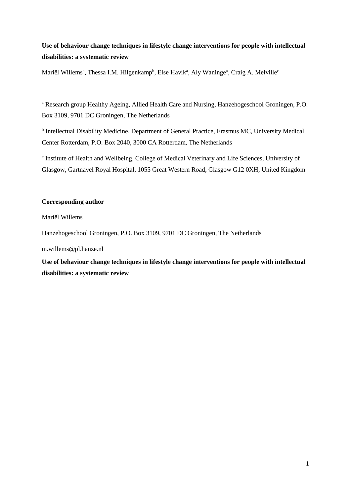# **Use of behaviour change techniques in lifestyle change interventions for people with intellectual disabilities: a systematic review**

Mariël Willems<sup>a</sup>, Thessa I.M. Hilgenkamp<sup>b</sup>, Else Havik<sup>a</sup>, Aly Waninge<sup>a</sup>, Craig A. Melville<sup>c</sup>

<sup>a</sup> Research group Healthy Ageing, Allied Health Care and Nursing, Hanzehogeschool Groningen, P.O. Box 3109, 9701 DC Groningen, The Netherlands

<sup>b</sup> Intellectual Disability Medicine, Department of General Practice, Erasmus MC, University Medical Center Rotterdam, P.O. Box 2040, 3000 CA Rotterdam, The Netherlands

c Institute of Health and Wellbeing, College of Medical Veterinary and Life Sciences, University of Glasgow, Gartnavel Royal Hospital, 1055 Great Western Road, Glasgow G12 0XH, United Kingdom

### **Corresponding author**

Mariël Willems

Hanzehogeschool Groningen, P.O. Box 3109, 9701 DC Groningen, The Netherlands

m.willems@pl.hanze.nl

**Use of behaviour change techniques in lifestyle change interventions for people with intellectual disabilities: a systematic review**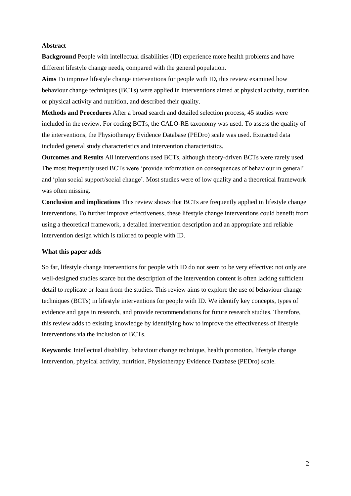### **Abstract**

**Background** People with intellectual disabilities (ID) experience more health problems and have different lifestyle change needs, compared with the general population.

**Aims** To improve lifestyle change interventions for people with ID, this review examined how behaviour change techniques (BCTs) were applied in interventions aimed at physical activity, nutrition or physical activity and nutrition, and described their quality.

**Methods and Procedures** After a broad search and detailed selection process, 45 studies were included in the review. For coding BCTs, the CALO-RE taxonomy was used. To assess the quality of the interventions, the Physiotherapy Evidence Database (PEDro) scale was used. Extracted data included general study characteristics and intervention characteristics.

**Outcomes and Results** All interventions used BCTs, although theory-driven BCTs were rarely used. The most frequently used BCTs were 'provide information on consequences of behaviour in general' and 'plan social support/social change'. Most studies were of low quality and a theoretical framework was often missing.

**Conclusion and implications** This review shows that BCTs are frequently applied in lifestyle change interventions. To further improve effectiveness, these lifestyle change interventions could benefit from using a theoretical framework, a detailed intervention description and an appropriate and reliable intervention design which is tailored to people with ID.

#### **What this paper adds**

So far, lifestyle change interventions for people with ID do not seem to be very effective: not only are well-designed studies scarce but the description of the intervention content is often lacking sufficient detail to replicate or learn from the studies. This review aims to explore the use of behaviour change techniques (BCTs) in lifestyle interventions for people with ID. We identify key concepts, types of evidence and gaps in research, and provide recommendations for future research studies. Therefore, this review adds to existing knowledge by identifying how to improve the effectiveness of lifestyle interventions via the inclusion of BCTs.

**Keywords**: Intellectual disability, behaviour change technique, health promotion, lifestyle change intervention, physical activity, nutrition, Physiotherapy Evidence Database (PEDro) scale.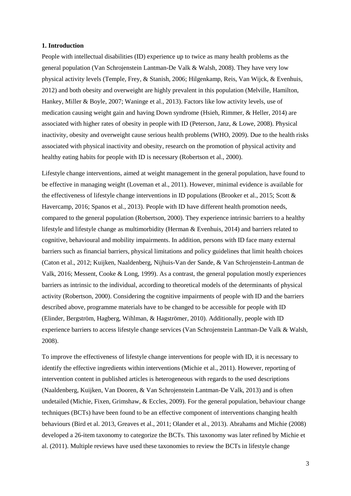### **1. Introduction**

People with intellectual disabilities (ID) experience up to twice as many health problems as the general population (Van Schrojenstein Lantman-De Valk & Walsh, 2008). They have very low physical activity levels (Temple, Frey, & Stanish, 2006; Hilgenkamp, Reis, Van Wijck, & Evenhuis, 2012) and both obesity and overweight are highly prevalent in this population (Melville, Hamilton, Hankey, Miller & Boyle, 2007; Waninge et al., 2013). Factors like low activity levels, use of medication causing weight gain and having Down syndrome (Hsieh, Rimmer, & Heller, 2014) are associated with higher rates of obesity in people with ID (Peterson, Janz, & Lowe, 2008). Physical inactivity, obesity and overweight cause serious health problems (WHO, 2009). Due to the health risks associated with physical inactivity and obesity, research on the promotion of physical activity and healthy eating habits for people with ID is necessary (Robertson et al., 2000).

Lifestyle change interventions, aimed at weight management in the general population, have found to be effective in managing weight (Loveman et al., 2011). However, minimal evidence is available for the effectiveness of lifestyle change interventions in ID populations (Brooker et al., 2015; Scott & Havercamp, 2016; Spanos et al., 2013). People with ID have different health promotion needs, compared to the general population (Robertson, 2000). They experience intrinsic barriers to a healthy lifestyle and lifestyle change as multimorbidity (Herman & Evenhuis, 2014) and barriers related to cognitive, behavioural and mobility impairments. In addition, persons with ID face many external barriers such as financial barriers, physical limitations and policy guidelines that limit health choices (Caton et al., 2012; Kuijken, Naaldenberg, Nijhuis-Van der Sande, & Van Schrojenstein-Lantman de Valk, 2016; Messent, Cooke & Long, 1999). As a contrast, the general population mostly experiences barriers as intrinsic to the individual, according to theoretical models of the determinants of physical activity (Robertson, 2000). Considering the cognitive impairments of people with ID and the barriers described above, programme materials have to be changed to be accessible for people with ID (Elinder, Bergström, Hagberg, Wihlman, & Hagströmer, 2010). Additionally, people with ID experience barriers to access lifestyle change services (Van Schrojenstein Lantman-De Valk & Walsh, 2008).

To improve the effectiveness of lifestyle change interventions for people with ID, it is necessary to identify the effective ingredients within interventions (Michie et al., 2011). However, reporting of intervention content in published articles is heterogeneous with regards to the used descriptions (Naaldenberg, Kuijken, Van Dooren, & Van Schrojenstein Lantman-De Valk, 2013) and is often undetailed (Michie, Fixen, Grimshaw, & Eccles, 2009). For the general population, behaviour change techniques (BCTs) have been found to be an effective component of interventions changing health behaviours (Bird et al. 2013, Greaves et al., 2011; Olander et al., 2013). Abrahams and Michie (2008) developed a 26-item taxonomy to categorize the BCTs. This taxonomy was later refined by Michie et al. (2011). Multiple reviews have used these taxonomies to review the BCTs in lifestyle change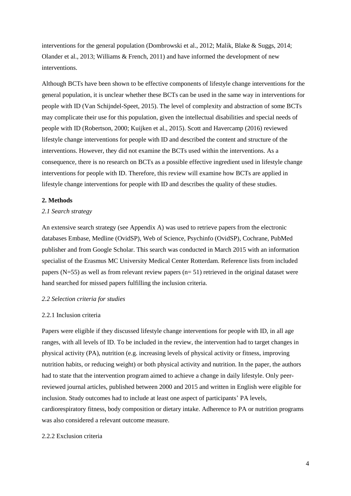interventions for the general population (Dombrowski et al., 2012; Malik, Blake & Suggs, 2014; Olander et al., 2013; Williams & French, 2011) and have informed the development of new interventions.

Although BCTs have been shown to be effective components of lifestyle change interventions for the general population, it is unclear whether these BCTs can be used in the same way in interventions for people with ID (Van Schijndel-Speet, 2015). The level of complexity and abstraction of some BCTs may complicate their use for this population, given the intellectual disabilities and special needs of people with ID (Robertson, 2000; Kuijken et al., 2015). Scott and Havercamp (2016) reviewed lifestyle change interventions for people with ID and described the content and structure of the interventions. However, they did not examine the BCTs used within the interventions. As a consequence, there is no research on BCTs as a possible effective ingredient used in lifestyle change interventions for people with ID. Therefore, this review will examine how BCTs are applied in lifestyle change interventions for people with ID and describes the quality of these studies.

### **2. Methods**

### *2.1 Search strategy*

An extensive search strategy (see Appendix A) was used to retrieve papers from the electronic databases Embase, Medline (OvidSP), Web of Science, Psychinfo (OvidSP), Cochrane, PubMed publisher and from Google Scholar. This search was conducted in March 2015 with an information specialist of the Erasmus MC University Medical Center Rotterdam. Reference lists from included papers (N=55) as well as from relevant review papers (n= 51) retrieved in the original dataset were hand searched for missed papers fulfilling the inclusion criteria.

### *2.2 Selection criteria for studies*

### 2.2.1 Inclusion criteria

Papers were eligible if they discussed lifestyle change interventions for people with ID, in all age ranges, with all levels of ID. To be included in the review, the intervention had to target changes in physical activity (PA), nutrition (e.g. increasing levels of physical activity or fitness, improving nutrition habits, or reducing weight) or both physical activity and nutrition. In the paper, the authors had to state that the intervention program aimed to achieve a change in daily lifestyle. Only peerreviewed journal articles, published between 2000 and 2015 and written in English were eligible for inclusion. Study outcomes had to include at least one aspect of participants' PA levels, cardiorespiratory fitness, body composition or dietary intake. Adherence to PA or nutrition programs was also considered a relevant outcome measure.

### 2.2.2 Exclusion criteria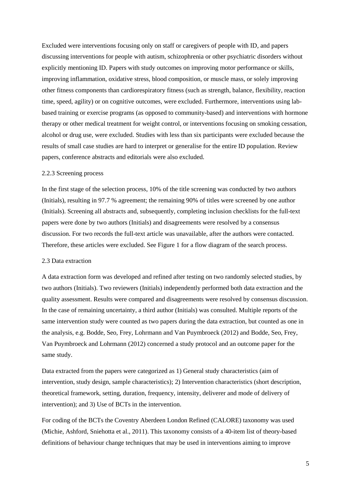Excluded were interventions focusing only on staff or caregivers of people with ID, and papers discussing interventions for people with autism, schizophrenia or other psychiatric disorders without explicitly mentioning ID. Papers with study outcomes on improving motor performance or skills, improving inflammation, oxidative stress, blood composition, or muscle mass, or solely improving other fitness components than cardiorespiratory fitness (such as strength, balance, flexibility, reaction time, speed, agility) or on cognitive outcomes, were excluded. Furthermore, interventions using labbased training or exercise programs (as opposed to community-based) and interventions with hormone therapy or other medical treatment for weight control, or interventions focusing on smoking cessation, alcohol or drug use, were excluded. Studies with less than six participants were excluded because the results of small case studies are hard to interpret or generalise for the entire ID population. Review papers, conference abstracts and editorials were also excluded.

#### 2.2.3 Screening process

In the first stage of the selection process, 10% of the title screening was conducted by two authors (Initials), resulting in 97.7 % agreement; the remaining 90% of titles were screened by one author (Initials). Screening all abstracts and, subsequently, completing inclusion checklists for the full-text papers were done by two authors (Initials) and disagreements were resolved by a consensus discussion. For two records the full-text article was unavailable, after the authors were contacted. Therefore, these articles were excluded. See Figure 1 for a flow diagram of the search process.

### 2.3 Data extraction

A data extraction form was developed and refined after testing on two randomly selected studies, by two authors (Initials). Two reviewers (Initials) independently performed both data extraction and the quality assessment. Results were compared and disagreements were resolved by consensus discussion. In the case of remaining uncertainty, a third author (Initials) was consulted. Multiple reports of the same intervention study were counted as two papers during the data extraction, but counted as one in the analysis, e.g. Bodde, Seo, Frey, Lohrmann and Van Puymbroeck (2012) and Bodde, Seo, Frey, Van Puymbroeck and Lohrmann (2012) concerned a study protocol and an outcome paper for the same study.

Data extracted from the papers were categorized as 1) General study characteristics (aim of intervention, study design, sample characteristics); 2) Intervention characteristics (short description, theoretical framework, setting, duration, frequency, intensity, deliverer and mode of delivery of intervention); and 3) Use of BCTs in the intervention.

For coding of the BCTs the Coventry Aberdeen London Refined (CALORE) taxonomy was used (Michie, Ashford, Sniehotta et al., 2011). This taxonomy consists of a 40-item list of theory-based definitions of behaviour change techniques that may be used in interventions aiming to improve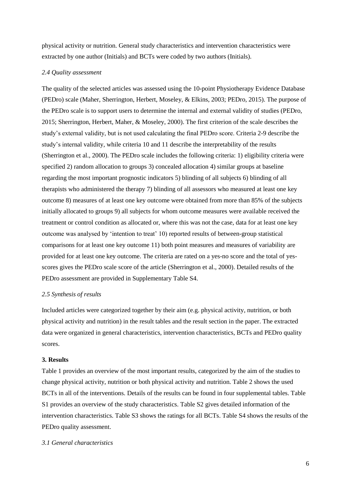physical activity or nutrition. General study characteristics and intervention characteristics were extracted by one author (Initials) and BCTs were coded by two authors (Initials).

### *2.4 Quality assessment*

The quality of the selected articles was assessed using the 10-point Physiotherapy Evidence Database (PEDro) scale (Maher, Sherrington, Herbert, Moseley, & Elkins, 2003; PEDro, 2015). The purpose of the PEDro scale is to support users to determine the internal and external validity of studies (PEDro, 2015; Sherrington, Herbert, Maher, & Moseley, 2000). The first criterion of the scale describes the study's external validity, but is not used calculating the final PEDro score. Criteria 2-9 describe the study's internal validity, while criteria 10 and 11 describe the interpretability of the results (Sherrington et al., 2000). The PEDro scale includes the following criteria: 1) eligibility criteria were specified 2) random allocation to groups 3) concealed allocation 4) similar groups at baseline regarding the most important prognostic indicators 5) blinding of all subjects 6) blinding of all therapists who administered the therapy 7) blinding of all assessors who measured at least one key outcome 8) measures of at least one key outcome were obtained from more than 85% of the subjects initially allocated to groups 9) all subjects for whom outcome measures were available received the treatment or control condition as allocated or, where this was not the case, data for at least one key outcome was analysed by 'intention to treat' 10) reported results of between-group statistical comparisons for at least one key outcome 11) both point measures and measures of variability are provided for at least one key outcome. The criteria are rated on a yes-no score and the total of yesscores gives the PEDro scale score of the article (Sherrington et al., 2000). Detailed results of the PEDro assessment are provided in Supplementary Table S4.

#### *2.5 Synthesis of results*

Included articles were categorized together by their aim (e.g. physical activity, nutrition, or both physical activity and nutrition) in the result tables and the result section in the paper. The extracted data were organized in general characteristics, intervention characteristics, BCTs and PEDro quality scores.

#### **3. Results**

Table 1 provides an overview of the most important results, categorized by the aim of the studies to change physical activity, nutrition or both physical activity and nutrition. Table 2 shows the used BCTs in all of the interventions. Details of the results can be found in four supplemental tables. Table S1 provides an overview of the study characteristics. Table S2 gives detailed information of the intervention characteristics. Table S3 shows the ratings for all BCTs. Table S4 shows the results of the PEDro quality assessment.

### *3.1 General characteristics*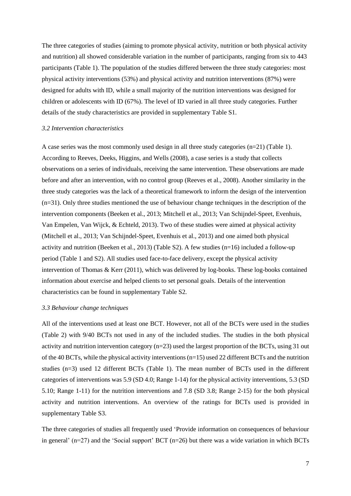The three categories of studies (aiming to promote physical activity, nutrition or both physical activity and nutrition) all showed considerable variation in the number of participants, ranging from six to 443 participants (Table 1). The population of the studies differed between the three study categories: most physical activity interventions (53%) and physical activity and nutrition interventions (87%) were designed for adults with ID, while a small majority of the nutrition interventions was designed for children or adolescents with ID (67%). The level of ID varied in all three study categories. Further details of the study characteristics are provided in supplementary Table S1.

#### *3.2 Intervention characteristics*

A case series was the most commonly used design in all three study categories  $(n=21)$  (Table 1). According to Reeves, Deeks, Higgins, and Wells (2008), a case series is a study that collects observations on a series of individuals, receiving the same intervention. These observations are made before and after an intervention, with no control group (Reeves et al., 2008). Another similarity in the three study categories was the lack of a theoretical framework to inform the design of the intervention (n=31). Only three studies mentioned the use of behaviour change techniques in the description of the intervention components (Beeken et al., 2013; Mitchell et al., 2013; Van Schijndel-Speet, Evenhuis, Van Empelen, Van Wijck, & Echteld, 2013). Two of these studies were aimed at physical activity (Mitchell et al., 2013; Van Schijndel-Speet, Evenhuis et al., 2013) and one aimed both physical activity and nutrition (Beeken et al., 2013) (Table S2). A few studies (n=16) included a follow-up period (Table 1 and S2). All studies used face-to-face delivery, except the physical activity intervention of Thomas & Kerr (2011), which was delivered by log-books. These log-books contained information about exercise and helped clients to set personal goals. Details of the intervention characteristics can be found in supplementary Table S2.

#### *3.3 Behaviour change techniques*

All of the interventions used at least one BCT. However, not all of the BCTs were used in the studies (Table 2) with 9/40 BCTs not used in any of the included studies. The studies in the both physical activity and nutrition intervention category  $(n=23)$  used the largest proportion of the BCTs, using 31 out of the 40 BCTs, while the physical activity interventions (n=15) used 22 different BCTs and the nutrition studies (n=3) used 12 different BCTs (Table 1). The mean number of BCTs used in the different categories of interventions was 5.9 (SD 4.0; Range 1-14) for the physical activity interventions, 5.3 (SD 5.10; Range 1-11) for the nutrition interventions and 7.8 (SD 3.8; Range 2-15) for the both physical activity and nutrition interventions. An overview of the ratings for BCTs used is provided in supplementary Table S3.

The three categories of studies all frequently used 'Provide information on consequences of behaviour in general' (n=27) and the 'Social support' BCT (n=26) but there was a wide variation in which BCTs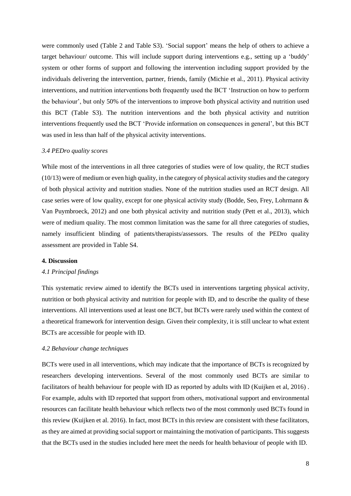were commonly used (Table 2 and Table S3). 'Social support' means the help of others to achieve a target behaviour/ outcome. This will include support during interventions e.g., setting up a 'buddy' system or other forms of support and following the intervention including support provided by the individuals delivering the intervention, partner, friends, family (Michie et al., 2011). Physical activity interventions, and nutrition interventions both frequently used the BCT 'Instruction on how to perform the behaviour', but only 50% of the interventions to improve both physical activity and nutrition used this BCT (Table S3). The nutrition interventions and the both physical activity and nutrition interventions frequently used the BCT 'Provide information on consequences in general', but this BCT was used in less than half of the physical activity interventions.

#### *3.4 PEDro quality scores*

While most of the interventions in all three categories of studies were of low quality, the RCT studies (10/13) were of medium or even high quality, in the category of physical activity studies and the category of both physical activity and nutrition studies. None of the nutrition studies used an RCT design. All case series were of low quality, except for one physical activity study (Bodde, Seo, Frey, Lohrmann & Van Puymbroeck, 2012) and one both physical activity and nutrition study (Pett et al., 2013), which were of medium quality. The most common limitation was the same for all three categories of studies, namely insufficient blinding of patients/therapists/assessors. The results of the PEDro quality assessment are provided in Table S4.

### **4. Discussion**

#### *4.1 Principal findings*

This systematic review aimed to identify the BCTs used in interventions targeting physical activity, nutrition or both physical activity and nutrition for people with ID, and to describe the quality of these interventions. All interventions used at least one BCT, but BCTs were rarely used within the context of a theoretical framework for intervention design. Given their complexity, it is still unclear to what extent BCTs are accessible for people with ID.

#### *4.2 Behaviour change techniques*

BCTs were used in all interventions, which may indicate that the importance of BCTs is recognized by researchers developing interventions. Several of the most commonly used BCTs are similar to facilitators of health behaviour for people with ID as reported by adults with ID (Kuijken et al, 2016) . For example, adults with ID reported that support from others, motivational support and environmental resources can facilitate health behaviour which reflects two of the most commonly used BCTs found in this review (Kuijken et al. 2016). In fact, most BCTs in this review are consistent with these facilitators, as they are aimed at providing social support or maintaining the motivation of participants. This suggests that the BCTs used in the studies included here meet the needs for health behaviour of people with ID.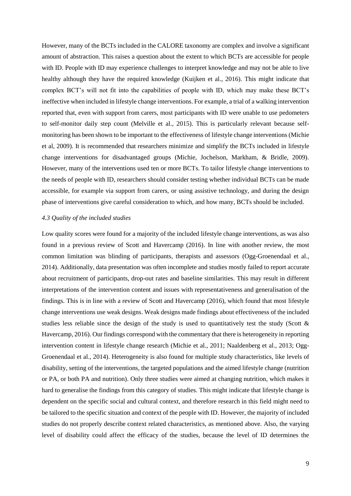However, many of the BCTs included in the CALORE taxonomy are complex and involve a significant amount of abstraction. This raises a question about the extent to which BCTs are accessible for people with ID. People with ID may experience challenges to interpret knowledge and may not be able to live healthy although they have the required knowledge (Kuijken et al., 2016). This might indicate that complex BCT's will not fit into the capabilities of people with ID, which may make these BCT's ineffective when included in lifestyle change interventions. For example, a trial of a walking intervention reported that, even with support from carers, most participants with ID were unable to use pedometers to self-monitor daily step count (Melville et al., 2015). This is particularly relevant because selfmonitoring has been shown to be important to the effectiveness of lifestyle change interventions (Michie et al, 2009). It is recommended that researchers minimize and simplify the BCTs included in lifestyle change interventions for disadvantaged groups (Michie, Jochelson, Markham, & Bridle, 2009). However, many of the interventions used ten or more BCTs. To tailor lifestyle change interventions to the needs of people with ID, researchers should consider testing whether individual BCTs can be made accessible, for example via support from carers, or using assistive technology, and during the design phase of interventions give careful consideration to which, and how many, BCTs should be included.

### *4.3 Quality of the included studies*

Low quality scores were found for a majority of the included lifestyle change interventions, as was also found in a previous review of Scott and Havercamp (2016). In line with another review, the most common limitation was blinding of participants, therapists and assessors (Ogg-Groenendaal et al., 2014). Additionally, data presentation was often incomplete and studies mostly failed to report accurate about recruitment of participants, drop-out rates and baseline similarities. This may result in different interpretations of the intervention content and issues with representativeness and generalisation of the findings. This is in line with a review of Scott and Havercamp (2016), which found that most lifestyle change interventions use weak designs. Weak designs made findings about effectiveness of the included studies less reliable since the design of the study is used to quantitatively test the study (Scott & Havercamp, 2016). Our findings correspond with the commentary that there is heterogeneity in reporting intervention content in lifestyle change research (Michie et al., 2011; Naaldenberg et al., 2013; Ogg-Groenendaal et al., 2014). Heterogeneity is also found for multiple study characteristics, like levels of disability, setting of the interventions, the targeted populations and the aimed lifestyle change (nutrition or PA, or both PA and nutrition). Only three studies were aimed at changing nutrition, which makes it hard to generalise the findings from this category of studies. This might indicate that lifestyle change is dependent on the specific social and cultural context, and therefore research in this field might need to be tailored to the specific situation and context of the people with ID. However, the majority of included studies do not properly describe context related characteristics, as mentioned above. Also, the varying level of disability could affect the efficacy of the studies, because the level of ID determines the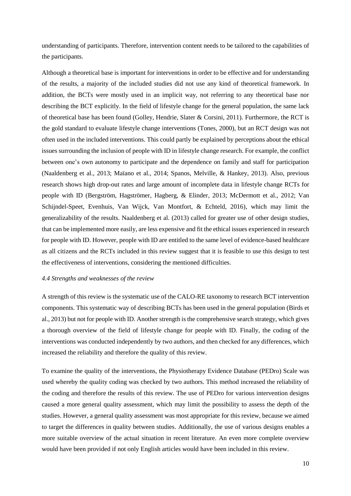understanding of participants. Therefore, intervention content needs to be tailored to the capabilities of the participants.

Although a theoretical base is important for interventions in order to be effective and for understanding of the results, a majority of the included studies did not use any kind of theoretical framework. In addition, the BCTs were mostly used in an implicit way, not referring to any theoretical base nor describing the BCT explicitly. In the field of lifestyle change for the general population, the same lack of theoretical base has been found (Golley, Hendrie, Slater & Corsini, 2011). Furthermore, the RCT is the gold standard to evaluate lifestyle change interventions (Tones, 2000), but an RCT design was not often used in the included interventions. This could partly be explained by perceptions about the ethical issues surrounding the inclusion of people with ID in lifestyle change research. For example, the conflict between one's own autonomy to participate and the dependence on family and staff for participation (Naaldenberg et al., 2013; Maïano et al., 2014; Spanos, Melville, & Hankey, 2013). Also, previous research shows high drop-out rates and large amount of incomplete data in lifestyle change RCTs for people with ID (Bergström, Hagströmer, Hagberg, & Elinder, 2013; McDermott et al., 2012; Van Schijndel-Speet, Evenhuis, Van Wijck, Van Montfort, & Echteld, 2016), which may limit the generalizability of the results. Naaldenberg et al. (2013) called for greater use of other design studies, that can be implemented more easily, are less expensive and fit the ethical issues experienced in research for people with ID. However, people with ID are entitled to the same level of evidence-based healthcare as all citizens and the RCTs included in this review suggest that it is feasible to use this design to test the effectiveness of interventions, considering the mentioned difficulties.

#### *4.4 Strengths and weaknesses of the review*

A strength of this review is the systematic use of the CALO-RE taxonomy to research BCT intervention components. This systematic way of describing BCTs has been used in the general population (Birds et al., 2013) but not for people with ID. Another strength is the comprehensive search strategy, which gives a thorough overview of the field of lifestyle change for people with ID. Finally, the coding of the interventions was conducted independently by two authors, and then checked for any differences, which increased the reliability and therefore the quality of this review.

To examine the quality of the interventions, the Physiotherapy Evidence Database (PEDro) Scale was used whereby the quality coding was checked by two authors. This method increased the reliability of the coding and therefore the results of this review. The use of PEDro for various intervention designs caused a more general quality assessment, which may limit the possibility to assess the depth of the studies. However, a general quality assessment was most appropriate for this review, because we aimed to target the differences in quality between studies. Additionally, the use of various designs enables a more suitable overview of the actual situation in recent literature. An even more complete overview would have been provided if not only English articles would have been included in this review.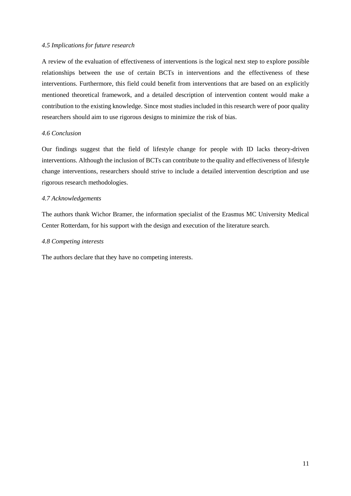### *4.5 Implications for future research*

A review of the evaluation of effectiveness of interventions is the logical next step to explore possible relationships between the use of certain BCTs in interventions and the effectiveness of these interventions. Furthermore, this field could benefit from interventions that are based on an explicitly mentioned theoretical framework, and a detailed description of intervention content would make a contribution to the existing knowledge. Since most studies included in this research were of poor quality researchers should aim to use rigorous designs to minimize the risk of bias.

### *4.6 Conclusion*

Our findings suggest that the field of lifestyle change for people with ID lacks theory-driven interventions. Although the inclusion of BCTs can contribute to the quality and effectiveness of lifestyle change interventions, researchers should strive to include a detailed intervention description and use rigorous research methodologies.

### *4.7 Acknowledgements*

The authors thank Wichor Bramer, the information specialist of the Erasmus MC University Medical Center Rotterdam, for his support with the design and execution of the literature search.

### *4.8 Competing interests*

The authors declare that they have no competing interests.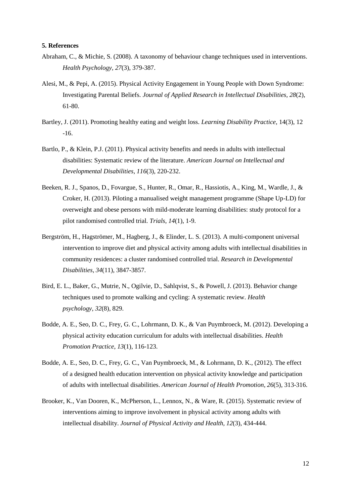### **5. References**

- Abraham, C., & Michie, S. (2008). A taxonomy of behaviour change techniques used in interventions. *Health Psychology, 27*(3), 379-387.
- Alesi, M., & Pepi, A. (2015). Physical Activity Engagement in Young People with Down Syndrome: Investigating Parental Beliefs. *Journal of Applied Research in Intellectual Disabilities, 28*(2), 61-80.
- Bartley, J. (2011). Promoting healthy eating and weight loss. *Learning Disability Practice,* 14(3), 12 -16.
- Bartlo, P., & Klein, P.J. (2011). Physical activity benefits and needs in adults with intellectual disabilities: Systematic review of the literature. *American Journal on Intellectual and Developmental Disabilities*, *116*(3), 220-232.
- Beeken, R. J., Spanos, D., Fovargue, S., Hunter, R., Omar, R., Hassiotis, A., King, M., Wardle, J., & Croker, H. (2013). Piloting a manualised weight management programme (Shape Up-LD) for overweight and obese persons with mild-moderate learning disabilities: study protocol for a pilot randomised controlled trial. *Trials*, *14*(1), 1-9.
- Bergström, H., Hagströmer, M., Hagberg, J., & Elinder, L. S. (2013). A multi-component universal intervention to improve diet and physical activity among adults with intellectual disabilities in community residences: a cluster randomised controlled trial. *Research in Developmental Disabilities*, *34*(11), 3847-3857.
- Bird, E. L., Baker, G., Mutrie, N., Ogilvie, D., Sahlqvist, S., & Powell, J. (2013). Behavior change techniques used to promote walking and cycling: A systematic review. *Health psychology*, *32*(8), 829.
- Bodde, A. E., Seo, D. C., Frey, G. C., Lohrmann, D. K., & Van Puymbroeck, M. (2012). Developing a physical activity education curriculum for adults with intellectual disabilities. *Health Promotion Practice*, *13*(1), 116-123.
- Bodde, A. E., Seo, D. C., Frey, G. C., Van Puymbroeck, M., & Lohrmann, D. K., (2012). The effect of a designed health education intervention on physical activity knowledge and participation of adults with intellectual disabilities. *American Journal of Health Promotion*, *26*(5), 313-316.
- Brooker, K., Van Dooren, K., McPherson, L., Lennox, N., & Ware, R. (2015). Systematic review of interventions aiming to improve involvement in physical activity among adults with intellectual disability. *Journal of Physical Activity and Health*, *12*(3), 434-444.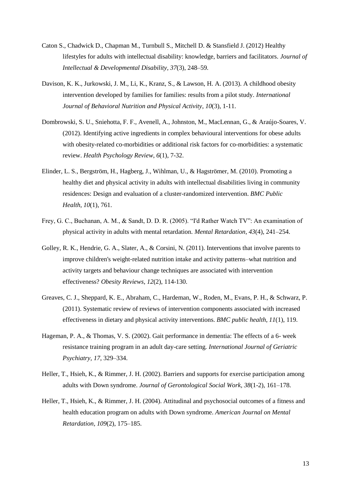- Caton S., Chadwick D., Chapman M., Turnbull S., Mitchell D. & Stansfield J. (2012) Healthy lifestyles for adults with intellectual disability: knowledge, barriers and facilitators. *Journal of Intellectual & Developmental Disability, 37*(3), 248–59.
- Davison, K. K., Jurkowski, J. M., Li, K., Kranz, S., & Lawson, H. A. (2013). A childhood obesity intervention developed by families for families: results from a pilot study. *International Journal of Behavioral Nutrition and Physical Activity*, *10*(3), 1-11.
- Dombrowski, S. U., Sniehotta, F. F., Avenell, A., Johnston, M., MacLennan, G., & Araújo-Soares, V. (2012). Identifying active ingredients in complex behavioural interventions for obese adults with obesity-related co-morbidities or additional risk factors for co-morbidities: a systematic review. *Health Psychology Review*, *6*(1), 7-32.
- Elinder, L. S., Bergström, H., Hagberg, J., Wihlman, U., & Hagströmer, M. (2010). Promoting a healthy diet and physical activity in adults with intellectual disabilities living in community residences: Design and evaluation of a cluster-randomized intervention. *BMC Public Health*, *10*(1), 761.
- Frey, G. C., Buchanan, A. M., & Sandt, D. D. R. (2005). "I'd Rather Watch TV": An examination of physical activity in adults with mental retardation. *Mental Retardation*, *43*(4), 241–254.
- Golley, R. K., Hendrie, G. A., Slater, A., & Corsini, N. (2011). Interventions that involve parents to improve children's weight‐related nutrition intake and activity patterns–what nutrition and activity targets and behaviour change techniques are associated with intervention effectiveness? *Obesity Reviews*, *12*(2), 114-130.
- Greaves, C. J., Sheppard, K. E., Abraham, C., Hardeman, W., Roden, M., Evans, P. H., & Schwarz, P. (2011). Systematic review of reviews of intervention components associated with increased effectiveness in dietary and physical activity interventions. *BMC public health*, *11*(1), 119.
- Hageman, P. A., & Thomas, V. S. (2002). Gait performance in dementia: The effects of a 6- week resistance training program in an adult day-care setting*. International Journal of Geriatric Psychiatry, 17*, 329–334.
- Heller, T., Hsieh, K., & Rimmer, J. H. (2002). Barriers and supports for exercise participation among adults with Down syndrome. *Journal of Gerontological Social Work, 38*(1-2), 161–178.
- Heller, T., Hsieh, K., & Rimmer, J. H. (2004). Attitudinal and psychosocial outcomes of a fitness and health education program on adults with Down syndrome. *American Journal on Mental Retardation, 109*(2), 175–185.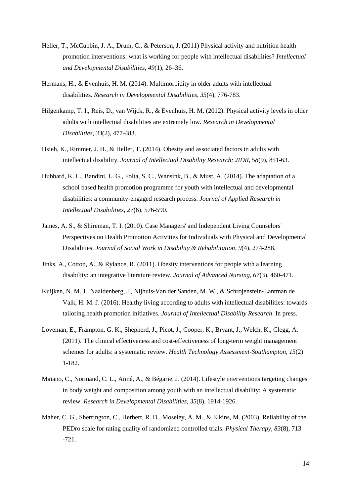- Heller, T., McCubbin, J. A., Drum, C., & Peterson, J. (2011) Physical activity and nutrition health promotion interventions: what is working for people with intellectual disabilities? *Intellectual and Developmental Disabilities*, *49*(1), 26–36.
- Hermans, H., & Evenhuis, H. M. (2014). Multimorbidity in older adults with intellectual disabilities. *Research in Developmental Disabilities*, *35*(4), 776-783.
- Hilgenkamp, T. I., Reis, D., van Wijck, R., & Evenhuis, H. M. (2012). Physical activity levels in older adults with intellectual disabilities are extremely low. *Research in Developmental Disabilities*, *33*(2), 477-483.
- Hsieh, K., Rimmer, J. H., & Heller, T. (2014). Obesity and associated factors in adults with intellectual disability. *Journal of Intellectual Disability Research: JIDR*, *58*(9), 851-63.
- Hubbard, K. L., Bandini, L. G., Folta, S. C., Wansink, B., & Must, A. (2014). The adaptation of a school based health promotion programme for youth with intellectual and developmental disabilities: a community‐engaged research process. *Journal of Applied Research in Intellectual Disabilities*, *27*(6), 576-590.
- James, A. S., & Shireman, T. I. (2010). Case Managers' and Independent Living Counselors' Perspectives on Health Promotion Activities for Individuals with Physical and Developmental Disabilities. *Journal of Social Work in Disability & Rehabilitation, 9*(4), 274-288.
- Jinks, A., Cotton, A., & Rylance, R. (2011). Obesity interventions for people with a learning disability: an integrative literature review. *Journal of Advanced Nursing*, *67*(3), 460-471.
- Kuijken, N. M. J., Naaldenberg, J., Nijhuis‐Van der Sanden, M. W., & Schrojenstein‐Lantman de Valk, H. M. J. (2016). Healthy living according to adults with intellectual disabilities: towards tailoring health promotion initiatives. *Journal of Intellectual Disability Research*. In press.
- Loveman, E., Frampton, G. K., Shepherd, J., Picot, J., Cooper, K., Bryant, J., Welch, K., Clegg, A. (2011). The clinical effectiveness and cost-effectiveness of long-term weight management schemes for adults: a systematic review. *Health Technology Assessment-Southampton, 15*(2) 1-182.
- Maïano, C., Normand, C. L., Aimé, A., & Bégarie, J. (2014). Lifestyle interventions targeting changes in body weight and composition among youth with an intellectual disability: A systematic review. *Research in Developmental Disabilities*, *35*(8), 1914-1926.
- Maher, C. G., Sherrington, C., Herbert, R. D., Moseley, A. M., & Elkins, M. (2003). Reliability of the PEDro scale for rating quality of randomized controlled trials. *Physical Therapy, 83*(8), 713 -721.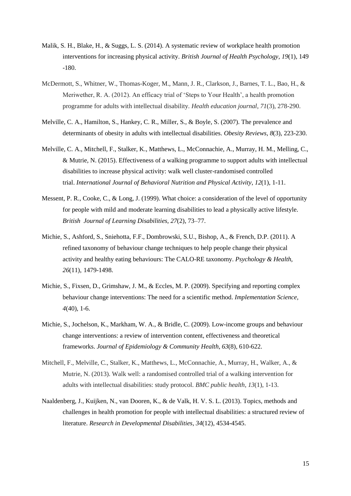- Malik, S. H., Blake, H., & Suggs, L. S. (2014). A systematic review of workplace health promotion interventions for increasing physical activity. *British Journal of Health Psychology*, *19*(1), 149 -180.
- McDermott, S., Whitner, W., Thomas-Koger, M., Mann, J. R., Clarkson, J., Barnes, T. L., Bao, H., & Meriwether, R. A. (2012). An efficacy trial of 'Steps to Your Health', a health promotion programme for adults with intellectual disability. *Health education journal*, *71*(3), 278-290.
- Melville, C. A., Hamilton, S., Hankey, C. R., Miller, S., & Boyle, S. (2007). The prevalence and determinants of obesity in adults with intellectual disabilities. *Obesity Reviews*, *8*(3), 223-230.
- Melville, C. A., Mitchell, F., Stalker, K., Matthews, L., McConnachie, A., Murray, H. M., Melling, C., & Mutrie, N. (2015). Effectiveness of a walking programme to support adults with intellectual disabilities to increase physical activity: walk well cluster-randomised controlled trial. *International Journal of Behavioral Nutrition and Physical Activity*, *12*(1), 1-11.
- Messent, P. R., Cooke, C., & Long, J. (1999). What choice: a consideration of the level of opportunity for people with mild and moderate learning disabilities to lead a physically active lifestyle. *British Journal of Learning Disabilities, 27*(2), 73–77.
- Michie, S., Ashford, S., Sniehotta, F.F., Dombrowski, S.U., Bishop, A., & French, D.P. (2011). A refined taxonomy of behaviour change techniques to help people change their physical activity and healthy eating behaviours: The CALO-RE taxonomy. *Psychology & Health, 26*(11), 1479-1498.
- Michie, S., Fixsen, D., Grimshaw, J. M., & Eccles, M. P. (2009). Specifying and reporting complex behaviour change interventions: The need for a scientific method. *Implementation Science, 4*(40), 1-6.
- Michie, S., Jochelson, K., Markham, W. A., & Bridle, C. (2009). Low-income groups and behaviour change interventions: a review of intervention content, effectiveness and theoretical frameworks. *Journal of Epidemiology & Community Health*, *63*(8), 610-622.
- Mitchell, F., Melville, C., Stalker, K., Matthews, L., McConnachie, A., Murray, H., Walker, A., & Mutrie, N. (2013). Walk well: a randomised controlled trial of a walking intervention for adults with intellectual disabilities: study protocol. *BMC public health*, *13*(1), 1-13.
- Naaldenberg, J., Kuijken, N., van Dooren, K., & de Valk, H. V. S. L. (2013). Topics, methods and challenges in health promotion for people with intellectual disabilities: a structured review of literature. *Research in Developmental Disabilities*, *34*(12), 4534-4545.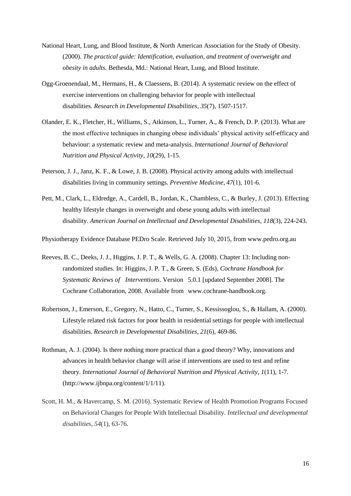- National Heart, Lung, and Blood Institute, & North American Association for the Study of Obesity. (2000). *The practical guide: Identification, evaluation, and treatment of overweight and obesity in adults.* Bethesda, Md.: National Heart, Lung, and Blood Institute.
- Ogg-Groenendaal, M., Hermans, H., & Claessens, B. (2014). A systematic review on the effect of exercise interventions on challenging behavior for people with intellectual disabilities. *Research in Developmental Disabilities*, *35*(7), 1507-1517.
- Olander, E. K., Fletcher, H., Williams, S., Atkinson, L., Turner, A., & French, D. P. (2013). What are the most effective techniques in changing obese individuals' physical activity self-efficacy and behaviour: a systematic review and meta-analysis. *International Journal of Behavioral Nutrition and Physical Activity*, *10*(29), 1-15.
- Peterson, J. J., Janz, K. F., & Lowe, J. B. (2008). Physical activity among adults with intellectual disabilities living in community settings. *Preventive Medicine*, *47*(1), 101-6.
- Pett, M., Clark, L., Eldredge, A., Cardell, B., Jordan, K., Chambless, C., & Burley, J. (2013). Effecting healthy lifestyle changes in overweight and obese young adults with intellectual disability. *American Journal on Intellectual and Developmental Disabilities*, *118*(3), 224-243.

Physiotherapy Evidence Database PEDro Scale. Retrieved July 10, 2015, from www.pedro.org.au

- Reeves, B. C., Deeks, J. J., Higgins, J. P. T., & Wells, G. A. (2008). Chapter 13: Including nonrandomized studies. In: Higgins, J. P. T., & Green, S. (Eds), *Cochrane Handbook for Systematic Reviews of Interventions*. Version 5.0.1 [updated September 2008]. The Cochrane Collaboration, 2008. Available from www.cochrane-handbook.org.
- Robertson, J., Emerson, E., Gregory, N., Hatto, C., Turner, S., Kessissoglou, S., & Hallam, A. (2000). Lifestyle related risk factors for poor health in residential settings for people with intellectual disabilities. *Research in Developmental Disabilities*, *21*(6), 469-86.
- Rothman, A. J. (2004). Is there nothing more practical than a good theory? Why, innovations and advances in health behavior change will arise if interventions are used to test and refine theory. *International Journal of Behavioral Nutrition and Physical Activity, 1*(11), 1-7. (http://www.ijbnpa.org/content/1/1/11).
- Scott, H. M., & Havercamp, S. M. (2016). Systematic Review of Health Promotion Programs Focused on Behavioral Changes for People With Intellectual Disability. *Intellectual and developmental disabilities*, *54*(1), 63-76.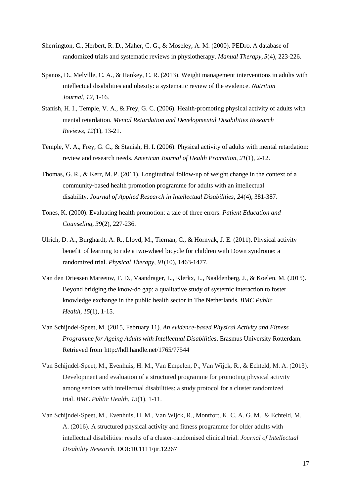- Sherrington, C., Herbert, R. D., Maher, C. G., & Moseley, A. M. (2000). PEDro. A database of randomized trials and systematic reviews in physiotherapy. *Manual Therapy, 5*(4), 223-226.
- Spanos, D., Melville, C. A., & Hankey, C. R. (2013). Weight management interventions in adults with intellectual disabilities and obesity: a systematic review of the evidence. *Nutrition Journal*, *12*, 1-16.
- Stanish, H. I., Temple, V. A., & Frey, G. C. (2006). Health‐promoting physical activity of adults with mental retardation. *Mental Retardation and Developmental Disabilities Research Reviews*, *12*(1), 13-21.
- Temple, V. A., Frey, G. C., & Stanish, H. I. (2006). Physical activity of adults with mental retardation: review and research needs. *American Journal of Health Promotion*, *21*(1), 2-12.
- Thomas, G. R., & Kerr, M. P. (2011). Longitudinal follow‐up of weight change in the context of a community‐based health promotion programme for adults with an intellectual disability. *Journal of Applied Research in Intellectual Disabilities, 24*(4), 381-387.
- Tones, K. (2000). Evaluating health promotion: a tale of three errors. *Patient Education and Counseling*, *39*(2), 227-236.
- Ulrich, D. A., Burghardt, A. R., Lloyd, M., Tiernan, C., & Hornyak, J. E. (2011). Physical activity benefit of learning to ride a two-wheel bicycle for children with Down syndrome: a randomized trial. *Physical Therapy*, *91*(10), 1463-1477.
- Van den Driessen Mareeuw, F. D., Vaandrager, L., Klerkx, L., Naaldenberg, J., & Koelen, M. (2015). Beyond bridging the know-do gap: a qualitative study of systemic interaction to foster knowledge exchange in the public health sector in The Netherlands. *BMC Public Health*, *15*(1), 1-15.
- Van Schijndel-Speet, M. (2015, February 11). *An evidence-based Physical Activity and Fitness Programme for Ageing Adults with Intellectual Disabilities*. Erasmus University Rotterdam. Retrieved from http://hdl.handle.net/1765/77544
- Van Schijndel-Speet, M., Evenhuis, H. M., Van Empelen, P., Van Wijck, R., & Echteld, M. A. (2013). Development and evaluation of a structured programme for promoting physical activity among seniors with intellectual disabilities: a study protocol for a cluster randomized trial. *BMC Public Health*, *13*(1), 1-11.
- Van Schijndel‐Speet, M., Evenhuis, H. M., Van Wijck, R., Montfort, K. C. A. G. M., & Echteld, M. A. (2016). A structured physical activity and fitness programme for older adults with intellectual disabilities: results of a cluster‐randomised clinical trial. *Journal of Intellectual Disability Research*. DOI:10.1111/jir.12267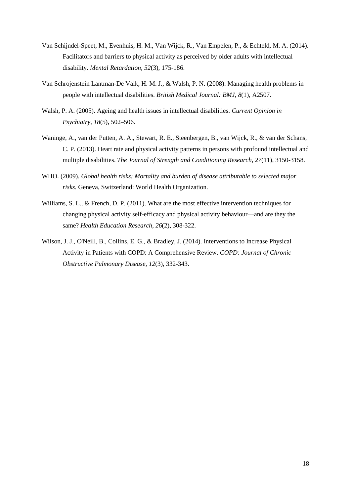- Van Schijndel-Speet, M., Evenhuis, H. M., Van Wijck, R., Van Empelen, P., & Echteld, M. A. (2014). Facilitators and barriers to physical activity as perceived by older adults with intellectual disability. *Mental Retardation*, *52*(3), 175-186.
- Van Schrojenstein Lantman-De Valk, H. M. J., & Walsh, P. N. (2008). Managing health problems in people with intellectual disabilities. *British Medical Journal: BMJ, 8*(1), A2507.
- Walsh, P. A. (2005). Ageing and health issues in intellectual disabilities. *Current Opinion in Psychiatry, 18*(5)*,* 502–506.
- Waninge, A., van der Putten, A. A., Stewart, R. E., Steenbergen, B., van Wijck, R., & van der Schans, C. P. (2013). Heart rate and physical activity patterns in persons with profound intellectual and multiple disabilities. *The Journal of Strength and Conditioning Research*, *27*(11), 3150-3158.
- WHO. (2009). *Global health risks: Mortality and burden of disease attributable to selected major risks.* Geneva, Switzerland: World Health Organization.
- Williams, S. L., & French, D. P. (2011). What are the most effective intervention techniques for changing physical activity self-efficacy and physical activity behaviour—and are they the same? *Health Education Research*, *26*(2), 308-322.
- Wilson, J. J., O'Neill, B., Collins, E. G., & Bradley, J. (2014). Interventions to Increase Physical Activity in Patients with COPD: A Comprehensive Review. *COPD: Journal of Chronic Obstructive Pulmonary Disease, 12*(3), 332-343.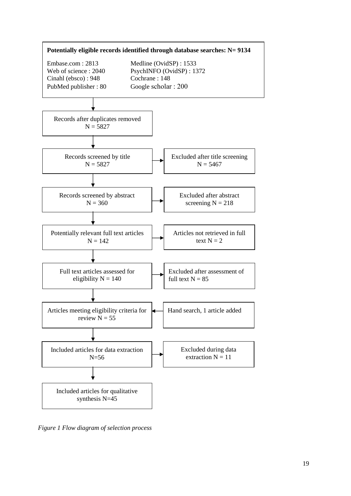

*Figure 1 Flow diagram of selection process*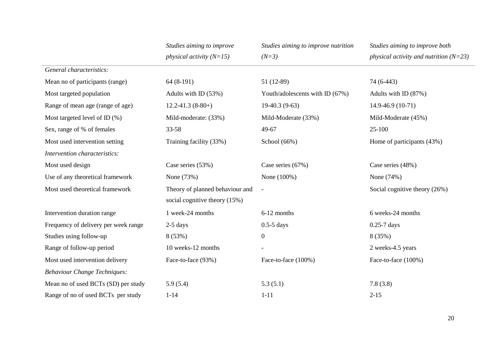|                                      | Studies aiming to improve       | Studies aiming to improve nutrition | Studies aiming to improve both           |
|--------------------------------------|---------------------------------|-------------------------------------|------------------------------------------|
|                                      | physical activity $(N=15)$      | $(N=3)$                             | physical activity and nutrition $(N=23)$ |
| General characteristics:             |                                 |                                     |                                          |
| Mean no of participants (range)      | $64(8-191)$                     | 51 (12-89)                          | 74 (6-443)                               |
| Most targeted population             | Adults with ID $(53%)$          | Youth/adolescents with ID (67%)     | Adults with ID (87%)                     |
| Range of mean age (range of age)     | $12.2 - 41.3(8-80+)$            | $19-40.3(9-63)$                     | $14.9 - 46.9(10 - 71)$                   |
| Most targeted level of ID $(\%)$     | Mild-moderate: (33%)            | Mild-Moderate (33%)                 | Mild-Moderate (45%)                      |
| Sex, range of % of females           | 33-58                           | 49-67                               | 25-100                                   |
| Most used intervention setting       | Training facility (33%)         | School (66%)                        | Home of participants (43%)               |
| Intervention characteristics:        |                                 |                                     |                                          |
| Most used design                     | Case series (53%)               | Case series (67%)                   | Case series (48%)                        |
| Use of any theoretical framework     | None (73%)                      | None (100%)                         | None (74%)                               |
| Most used theoretical framework      | Theory of planned behaviour and |                                     | Social cognitive theory $(26%)$          |
|                                      | social cognitive theory $(15%)$ |                                     |                                          |
| Intervention duration range          | 1 week-24 months                | 6-12 months                         | 6 weeks-24 months                        |
| Frequency of delivery per week range | $2-5$ days                      | $0.5-5$ days                        | $0.25-7$ days                            |
| Studies using follow-up              | 8(53%)                          | $\boldsymbol{0}$                    | 8 (35%)                                  |
| Range of follow-up period            | 10 weeks-12 months              |                                     | 2 weeks-4.5 years                        |
| Most used intervention delivery      | Face-to-face (93%)              | Face-to-face (100%)                 | Face-to-face (100%)                      |
| <b>Behaviour Change Techniques:</b>  |                                 |                                     |                                          |
| Mean no of used BCTs (SD) per study  | 5.9(5.4)                        | 5.3(5.1)                            | 7.8(3.8)                                 |
| Range of no of used BCTs per study   | $1 - 14$                        | $1 - 11$                            | $2 - 15$                                 |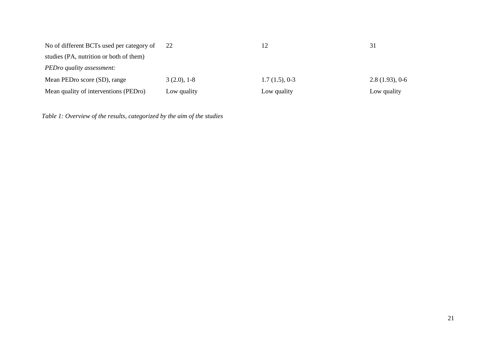| No of different BCTs used per category of | 22            | 12               | 31             |
|-------------------------------------------|---------------|------------------|----------------|
| studies (PA, nutrition or both of them)   |               |                  |                |
| <b>PEDro quality assessment:</b>          |               |                  |                |
| Mean PEDro score (SD), range              | $3(2.0), 1-8$ | $1.7(1.5)$ , 0-3 | 2.8(1.93), 0.6 |
| Mean quality of interventions (PEDro)     | Low quality   | Low quality      | Low quality    |

*Table 1: Overview of the results, categorized by the aim of the studies*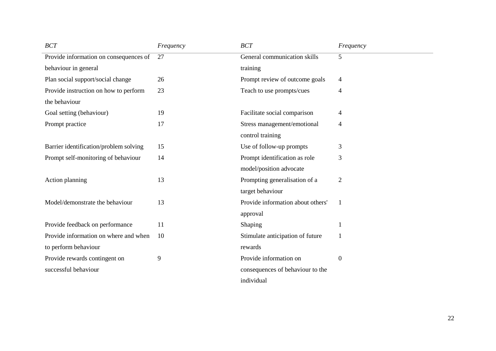| <b>BCT</b>                             | Frequency | <b>BCT</b>                        | Frequency        |
|----------------------------------------|-----------|-----------------------------------|------------------|
| Provide information on consequences of | 27        | General communication skills      | 5                |
| behaviour in general                   |           | training                          |                  |
| Plan social support/social change      | 26        | Prompt review of outcome goals    | 4                |
| Provide instruction on how to perform  | 23        | Teach to use prompts/cues         | 4                |
| the behaviour                          |           |                                   |                  |
| Goal setting (behaviour)               | 19        | Facilitate social comparison      | 4                |
| Prompt practice                        | 17        | Stress management/emotional       | 4                |
|                                        |           | control training                  |                  |
| Barrier identification/problem solving | 15        | Use of follow-up prompts          | 3                |
| Prompt self-monitoring of behaviour    | 14        | Prompt identification as role     | 3                |
|                                        |           | model/position advocate           |                  |
| Action planning                        | 13        | Prompting generalisation of a     | $\overline{2}$   |
|                                        |           | target behaviour                  |                  |
| Model/demonstrate the behaviour        | 13        | Provide information about others' | $\mathbf{1}$     |
|                                        |           | approval                          |                  |
| Provide feedback on performance        | 11        | Shaping                           | 1                |
| Provide information on where and when  | 10        | Stimulate anticipation of future  | 1                |
| to perform behaviour                   |           | rewards                           |                  |
| Provide rewards contingent on          | 9         | Provide information on            | $\boldsymbol{0}$ |
| successful behaviour                   |           | consequences of behaviour to the  |                  |
|                                        |           | individual                        |                  |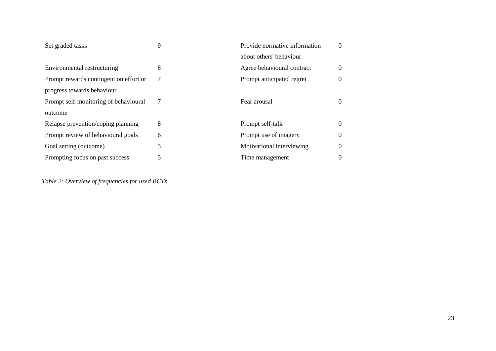| Set graded tasks                       | 9 | Provide normative information |          |  |
|----------------------------------------|---|-------------------------------|----------|--|
|                                        |   | about others' behaviour       |          |  |
| Environmental restructuring            | 8 | Agree behavioural contract    | $\Omega$ |  |
| Prompt rewards contingent on effort or | 7 | Prompt anticipated regret     | $\theta$ |  |
| progress towards behaviour             |   |                               |          |  |
| Prompt self-monitoring of behavioural  | 7 | Fear arousal                  | $\theta$ |  |
| outcome                                |   |                               |          |  |
| Relapse prevention/coping planning     | 8 | Prompt self-talk              | $\theta$ |  |
| Prompt review of behavioural goals     | 6 | Prompt use of imagery         | $\Omega$ |  |
| Goal setting (outcome)                 | 5 | Motivational interviewing     | $\Omega$ |  |
| Prompting focus on past success        | 5 | Time management               |          |  |

*Table 2: Overview of frequencies for used BCTs*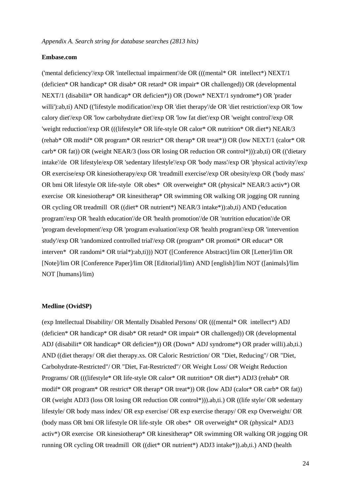### **Embase.com**

('mental deficiency'/exp OR 'intellectual impairment'/de OR (((mental\* OR intellect\*) NEXT/1 (deficien\* OR handicap\* OR disab\* OR retard\* OR impair\* OR challenged)) OR (developmental NEXT/1 (disabilit\* OR handicap\* OR deficien\*)) OR (Down\* NEXT/1 syndrome\*) OR 'prader willi'):ab,ti) AND (('lifestyle modification'/exp OR 'diet therapy'/de OR 'diet restriction'/exp OR 'low calory diet'/exp OR 'low carbohydrate diet'/exp OR 'low fat diet'/exp OR 'weight control'/exp OR 'weight reduction'/exp OR (((lifestyle\* OR life-style OR calor\* OR nutrition\* OR diet\*) NEAR/3 (rehab\* OR modif\* OR program\* OR restrict\* OR therap\* OR treat\*)) OR (low NEXT/1 (calor\* OR carb\* OR fat)) OR (weight NEAR/3 (loss OR losing OR reduction OR control\*))):ab,ti) OR (('dietary intake'/de OR lifestyle/exp OR 'sedentary lifestyle'/exp OR 'body mass'/exp OR 'physical activity'/exp OR exercise/exp OR kinesiotherapy/exp OR 'treadmill exercise'/exp OR obesity/exp OR ('body mass' OR bmi OR lifestyle OR life-style OR obes\* OR overweight\* OR (physical\* NEAR/3 activ\*) OR exercise OR kinesiotherap\* OR kinesitherap\* OR swimming OR walking OR jogging OR running OR cycling OR treadmill OR ((diet\* OR nutrient\*) NEAR/3 intake\*)):ab,ti) AND ('education program'/exp OR 'health education'/de OR 'health promotion'/de OR 'nutrition education'/de OR 'program development'/exp OR 'program evaluation'/exp OR 'health program'/exp OR 'intervention study'/exp OR 'randomized controlled trial'/exp OR (program\* OR promoti\* OR educat\* OR interven\* OR randomi\* OR trial\*):ab,ti))) NOT ([Conference Abstract]/lim OR [Letter]/lim OR [Note]/lim OR [Conference Paper]/lim OR [Editorial]/lim) AND [english]/lim NOT ([animals]/lim NOT [humans]/lim)

### **Medline (OvidSP)**

(exp Intellectual Disability/ OR Mentally Disabled Persons/ OR (((mental\* OR intellect\*) ADJ (deficien\* OR handicap\* OR disab\* OR retard\* OR impair\* OR challenged)) OR (developmental ADJ (disabilit\* OR handicap\* OR deficien\*)) OR (Down\* ADJ syndrome\*) OR prader willi).ab,ti.) AND ((diet therapy/ OR diet therapy.xs. OR Caloric Restriction/ OR "Diet, Reducing"/ OR "Diet, Carbohydrate-Restricted"/ OR "Diet, Fat-Restricted"/ OR Weight Loss/ OR Weight Reduction Programs/ OR (((lifestyle\* OR life-style OR calor\* OR nutrition\* OR diet\*) ADJ3 (rehab\* OR modif<sup>\*</sup> OR program<sup>\*</sup> OR restrict<sup>\*</sup> OR therap<sup>\*</sup> OR treat<sup>\*</sup>)) OR (low ADJ (calor<sup>\*</sup> OR carb<sup>\*</sup> OR fat)) OR (weight ADJ3 (loss OR losing OR reduction OR control\*))).ab,ti.) OR ((life style/ OR sedentary lifestyle/ OR body mass index/ OR exp exercise/ OR exp exercise therapy/ OR exp Overweight/ OR (body mass OR bmi OR lifestyle OR life-style OR obes\* OR overweight\* OR (physical\* ADJ3 activ\*) OR exercise OR kinesiotherap\* OR kinesitherap\* OR swimming OR walking OR jogging OR running OR cycling OR treadmill OR ((diet\* OR nutrient\*) ADJ3 intake\*)).ab,ti.) AND (health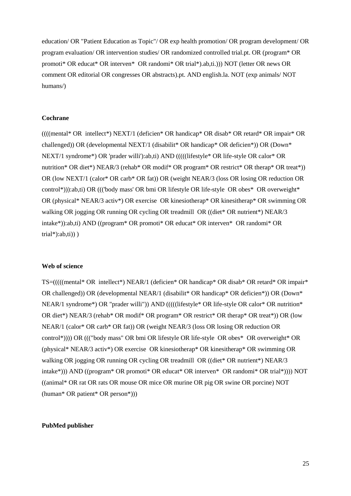education/ OR "Patient Education as Topic"/ OR exp health promotion/ OR program development/ OR program evaluation/ OR intervention studies/ OR randomized controlled trial.pt. OR (program\* OR promoti\* OR educat\* OR interven\* OR randomi\* OR trial\*).ab,ti.))) NOT (letter OR news OR comment OR editorial OR congresses OR abstracts).pt. AND english.la. NOT (exp animals/ NOT humans/)

#### **Cochrane**

((((mental\* OR intellect\*) NEXT/1 (deficien\* OR handicap\* OR disab\* OR retard\* OR impair\* OR challenged)) OR (developmental NEXT/1 (disabilit\* OR handicap\* OR deficien\*)) OR (Down\* NEXT/1 syndrome\*) OR 'prader willi'):ab,ti) AND (((((lifestyle\* OR life-style OR calor\* OR nutrition\* OR diet\*) NEAR/3 (rehab\* OR modif\* OR program\* OR restrict\* OR therap\* OR treat\*)) OR (low NEXT/1 (calor\* OR carb\* OR fat)) OR (weight NEAR/3 (loss OR losing OR reduction OR control\*))):ab,ti) OR ((('body mass' OR bmi OR lifestyle OR life-style OR obes\* OR overweight\* OR (physical\* NEAR/3 activ\*) OR exercise OR kinesiotherap\* OR kinesitherap\* OR swimming OR walking OR jogging OR running OR cycling OR treadmill OR ((diet\* OR nutrient\*) NEAR/3 intake\*)):ab,ti) AND ((program\* OR promoti\* OR educat\* OR interven\* OR randomi\* OR trial\*): $ab, ti)$ )

#### **Web of science**

TS=(((((mental\* OR intellect\*) NEAR/1 (deficien\* OR handicap\* OR disab\* OR retard\* OR impair\* OR challenged)) OR (developmental NEAR/1 (disabilit\* OR handicap\* OR deficien\*)) OR (Down\* NEAR/1 syndrome\*) OR "prader willi")) AND (((((lifestyle\* OR life-style OR calor\* OR nutrition\* OR diet\*) NEAR/3 (rehab\* OR modif\* OR program\* OR restrict\* OR therap\* OR treat\*)) OR (low NEAR/1 (calor\* OR carb\* OR fat)) OR (weight NEAR/3 (loss OR losing OR reduction OR control\*)))) OR ((("body mass" OR bmi OR lifestyle OR life-style OR obes\* OR overweight\* OR (physical\* NEAR/3 activ\*) OR exercise OR kinesiotherap\* OR kinesitherap\* OR swimming OR walking OR jogging OR running OR cycling OR treadmill OR ((diet\* OR nutrient\*) NEAR/3 intake\*))) AND ((program\* OR promoti\* OR educat\* OR interven\* OR randomi\* OR trial\*)))) NOT ((animal\* OR rat OR rats OR mouse OR mice OR murine OR pig OR swine OR porcine) NOT (human\* OR patient\* OR person\*)))

### **PubMed publisher**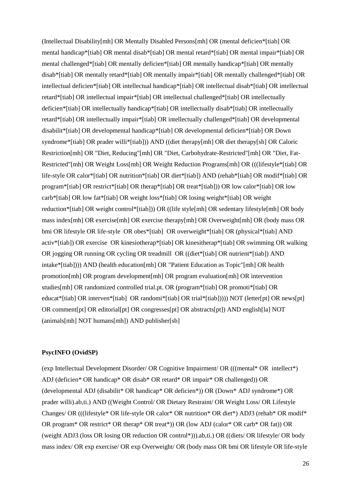(Intellectual Disability[mh] OR Mentally Disabled Persons[mh] OR (mental deficien\*[tiab] OR mental handicap\*[tiab] OR mental disab\*[tiab] OR mental retard\*[tiab] OR mental impair\*[tiab] OR mental challenged\*[tiab] OR mentally deficien\*[tiab] OR mentally handicap\*[tiab] OR mentally disab\*[tiab] OR mentally retard\*[tiab] OR mentally impair\*[tiab] OR mentally challenged\*[tiab] OR intellectual deficien\*[tiab] OR intellectual handicap\*[tiab] OR intellectual disab\*[tiab] OR intellectual retard\*[tiab] OR intellectual impair\*[tiab] OR intellectual challenged\*[tiab] OR intellectually deficien\*[tiab] OR intellectually handicap\*[tiab] OR intellectually disab\*[tiab] OR intellectually retard\*[tiab] OR intellectually impair\*[tiab] OR intellectually challenged\*[tiab] OR developmental disabilit\*[tiab] OR developmental handicap\*[tiab] OR developmental deficien\*[tiab] OR Down syndrome\*[tiab] OR prader willi\*[tiab])) AND ((diet therapy[mh] OR diet therapy[sh] OR Caloric Restriction[mh] OR "Diet, Reducing"[mh] OR "Diet, Carbohydrate-Restricted"[mh] OR "Diet, Fat-Restricted"[mh] OR Weight Loss[mh] OR Weight Reduction Programs[mh] OR (((lifestyle\*[tiab] OR life-style OR calor\*[tiab] OR nutrition\*[tiab] OR diet\*[tiab]) AND (rehab\*[tiab] OR modif\*[tiab] OR program\*[tiab] OR restrict\*[tiab] OR therap\*[tiab] OR treat\*[tiab])) OR low calor\*[tiab] OR low carb\*[tiab] OR low fat\*[tiab] OR weight loss\*[tiab] OR losing weight\*[tiab] OR weight reduction\*[tiab] OR weight control\*[tiab])) OR ((life style[mh] OR sedentary lifestyle[mh] OR body mass index[mh] OR exercise[mh] OR exercise therapy[mh] OR Overweight[mh] OR (body mass OR bmi OR lifestyle OR life-style OR obes\*[tiab] OR overweight\*[tiab] OR (physical\*[tiab] AND activ\*[tiab]) OR exercise OR kinesiotherap\*[tiab] OR kinesitherap\*[tiab] OR swimming OR walking OR jogging OR running OR cycling OR treadmill OR ((diet\*[tiab] OR nutrient\*[tiab]) AND intake\*[tiab]))) AND (health education[mh] OR "Patient Education as Topic"[mh] OR health promotion[mh] OR program development[mh] OR program evaluation[mh] OR intervention studies[mh] OR randomized controlled trial.pt. OR (program\*[tiab] OR promoti\*[tiab] OR educat\*[tiab] OR interven\*[tiab] OR randomi\*[tiab] OR trial\*[tiab])))) NOT (letter[pt] OR news[pt] OR comment[pt] OR editorial[pt] OR congresses[pt] OR abstracts[pt]) AND english[la] NOT  $(\text{animals[mh]} NOT \text{ humans[mh]}) AND \text{ publisher[sb]}$ 

### **PsycINFO (OvidSP)**

(exp Intellectual Development Disorder/ OR Cognitive Impairment/ OR (((mental\* OR intellect\*) ADJ (deficien\* OR handicap\* OR disab\* OR retard\* OR impair\* OR challenged)) OR (developmental ADJ (disabilit\* OR handicap\* OR deficien\*)) OR (Down\* ADJ syndrome\*) OR prader willi).ab,ti.) AND ((Weight Control/ OR Dietary Restraint/ OR Weight Loss/ OR Lifestyle Changes/ OR (((lifestyle\* OR life-style OR calor\* OR nutrition\* OR diet\*) ADJ3 (rehab\* OR modif\* OR program\* OR restrict\* OR therap\* OR treat\*)) OR (low ADJ (calor\* OR carb\* OR fat)) OR (weight ADJ3 (loss OR losing OR reduction OR control\*))).ab,ti.) OR ((diets/ OR lifestyle/ OR body mass index/ OR exp exercise/ OR exp Overweight/ OR (body mass OR bmi OR lifestyle OR life-style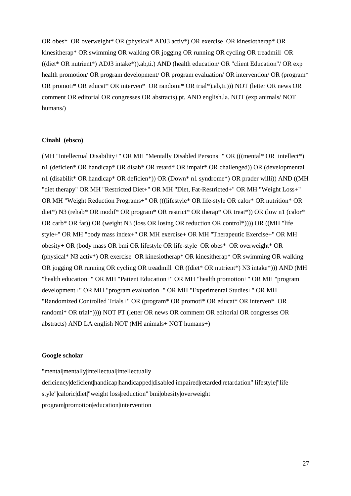OR obes\* OR overweight\* OR (physical\* ADJ3 activ\*) OR exercise OR kinesiotherap\* OR kinesitherap\* OR swimming OR walking OR jogging OR running OR cycling OR treadmill OR ((diet\* OR nutrient\*) ADJ3 intake\*)).ab,ti.) AND (health education/ OR "client Education"/ OR exp health promotion/ OR program development/ OR program evaluation/ OR intervention/ OR (program<sup>\*</sup> OR promoti\* OR educat\* OR interven\* OR randomi\* OR trial\*).ab,ti.))) NOT (letter OR news OR comment OR editorial OR congresses OR abstracts).pt. AND english.la. NOT (exp animals/ NOT humans/)

### **Cinahl (ebsco)**

(MH "Intellectual Disability+" OR MH "Mentally Disabled Persons+" OR (((mental\* OR intellect\*) n1 (deficien\* OR handicap\* OR disab\* OR retard\* OR impair\* OR challenged)) OR (developmental n1 (disabilit\* OR handicap\* OR deficien\*)) OR (Down\* n1 syndrome\*) OR prader willi)) AND ((MH "diet therapy" OR MH "Restricted Diet+" OR MH "Diet, Fat-Restricted+" OR MH "Weight Loss+" OR MH "Weight Reduction Programs+" OR (((lifestyle\* OR life-style OR calor\* OR nutrition\* OR diet\*) N3 (rehab\* OR modif\* OR program\* OR restrict\* OR therap\* OR treat\*)) OR (low n1 (calor\* OR carb\* OR fat)) OR (weight N3 (loss OR losing OR reduction OR control\*)))) OR ((MH "life style+" OR MH "body mass index+" OR MH exercise+ OR MH "Therapeutic Exercise+" OR MH obesity+ OR (body mass OR bmi OR lifestyle OR life-style OR obes\* OR overweight\* OR (physical\* N3 activ\*) OR exercise OR kinesiotherap\* OR kinesitherap\* OR swimming OR walking OR jogging OR running OR cycling OR treadmill OR ((diet\* OR nutrient\*) N3 intake\*))) AND (MH "health education+" OR MH "Patient Education+" OR MH "health promotion+" OR MH "program development+" OR MH "program evaluation+" OR MH "Experimental Studies+" OR MH "Randomized Controlled Trials+" OR (program\* OR promoti\* OR educat\* OR interven\* OR randomi\* OR trial\*)))) NOT PT (letter OR news OR comment OR editorial OR congresses OR abstracts) AND LA english NOT (MH animals+ NOT humans+)

### **Google scholar**

"mental|mentally|intellectual|intellectually deficiency|deficient|handicap|handicapped|disabled|impaired|retarded|retardation" lifestyle|"life style"|caloric|diet|"weight loss|reduction"|bmi|obesity|overweight program|promotion|education|intervention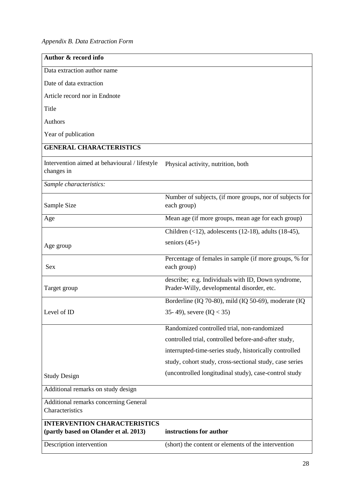| Author & record info                                                         |                                                                                                  |
|------------------------------------------------------------------------------|--------------------------------------------------------------------------------------------------|
| Data extraction author name                                                  |                                                                                                  |
| Date of data extraction                                                      |                                                                                                  |
| Article record nor in Endnote                                                |                                                                                                  |
| Title                                                                        |                                                                                                  |
| Authors                                                                      |                                                                                                  |
| Year of publication                                                          |                                                                                                  |
| <b>GENERAL CHARACTERISTICS</b>                                               |                                                                                                  |
| Intervention aimed at behavioural / lifestyle<br>changes in                  | Physical activity, nutrition, both                                                               |
| Sample characteristics:                                                      |                                                                                                  |
| Sample Size                                                                  | Number of subjects, (if more groups, nor of subjects for<br>each group)                          |
| Age                                                                          | Mean age (if more groups, mean age for each group)                                               |
|                                                                              | Children $(\langle 12 \rangle)$ , adolescents $(12-18)$ , adults $(18-45)$ ,                     |
| Age group                                                                    | seniors $(45+)$                                                                                  |
| <b>Sex</b>                                                                   | Percentage of females in sample (if more groups, % for<br>each group)                            |
| Target group                                                                 | describe; e.g. Individuals with ID, Down syndrome,<br>Prader-Willy, developmental disorder, etc. |
|                                                                              | Borderline (IQ 70-80), mild (IQ 50-69), moderate (IQ                                             |
| Level of ID                                                                  | 35-49), severe $(IQ < 35)$                                                                       |
|                                                                              | Randomized controlled trial, non-randomized                                                      |
|                                                                              | controlled trial, controlled before-and-after study,                                             |
|                                                                              | interrupted-time-series study, historically controlled                                           |
|                                                                              | study, cohort study, cross-sectional study, case series                                          |
| <b>Study Design</b>                                                          | (uncontrolled longitudinal study), case-control study                                            |
| Additional remarks on study design                                           |                                                                                                  |
| Additional remarks concerning General<br>Characteristics                     |                                                                                                  |
| <b>INTERVENTION CHARACTERISTICS</b><br>(partly based on Olander et al. 2013) | instructions for author                                                                          |
| Description intervention                                                     | (short) the content or elements of the intervention                                              |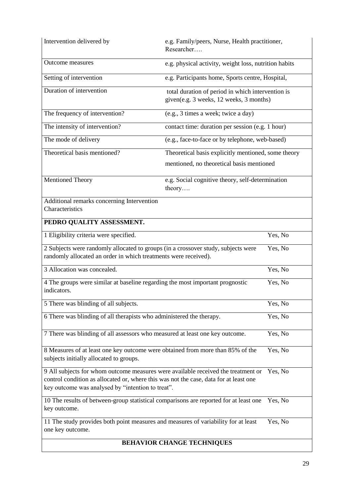| Intervention delivered by<br>e.g. Family/peers, Nurse, Health practitioner,<br>Researcher                                                                                                                                       |                                                            |         |  |  |  |  |  |
|---------------------------------------------------------------------------------------------------------------------------------------------------------------------------------------------------------------------------------|------------------------------------------------------------|---------|--|--|--|--|--|
| <b>Outcome</b> measures<br>e.g. physical activity, weight loss, nutrition habits                                                                                                                                                |                                                            |         |  |  |  |  |  |
| Setting of intervention                                                                                                                                                                                                         | e.g. Participants home, Sports centre, Hospital,           |         |  |  |  |  |  |
| Duration of intervention<br>total duration of period in which intervention is<br>given(e.g. 3 weeks, 12 weeks, 3 months)                                                                                                        |                                                            |         |  |  |  |  |  |
| The frequency of intervention?                                                                                                                                                                                                  | (e.g., 3 times a week; twice a day)                        |         |  |  |  |  |  |
| The intensity of intervention?                                                                                                                                                                                                  | contact time: duration per session (e.g. 1 hour)           |         |  |  |  |  |  |
| The mode of delivery                                                                                                                                                                                                            | (e.g., face-to-face or by telephone, web-based)            |         |  |  |  |  |  |
| Theoretical basis mentioned?                                                                                                                                                                                                    | Theoretical basis explicitly mentioned, some theory        |         |  |  |  |  |  |
|                                                                                                                                                                                                                                 | mentioned, no theoretical basis mentioned                  |         |  |  |  |  |  |
| <b>Mentioned Theory</b>                                                                                                                                                                                                         | e.g. Social cognitive theory, self-determination<br>theory |         |  |  |  |  |  |
| Additional remarks concerning Intervention<br>Characteristics                                                                                                                                                                   |                                                            |         |  |  |  |  |  |
| PEDRO QUALITY ASSESSMENT.                                                                                                                                                                                                       |                                                            |         |  |  |  |  |  |
| 1 Eligibility criteria were specified.                                                                                                                                                                                          |                                                            | Yes, No |  |  |  |  |  |
| 2 Subjects were randomly allocated to groups (in a crossover study, subjects were<br>randomly allocated an order in which treatments were received).                                                                            |                                                            | Yes, No |  |  |  |  |  |
| 3 Allocation was concealed.                                                                                                                                                                                                     |                                                            | Yes, No |  |  |  |  |  |
| 4 The groups were similar at baseline regarding the most important prognostic<br>indicators.                                                                                                                                    |                                                            | Yes, No |  |  |  |  |  |
| 5 There was blinding of all subjects.                                                                                                                                                                                           |                                                            | Yes, No |  |  |  |  |  |
| 6 There was blinding of all therapists who administered the therapy.                                                                                                                                                            |                                                            | Yes, No |  |  |  |  |  |
| 7 There was blinding of all assessors who measured at least one key outcome.                                                                                                                                                    |                                                            | Yes, No |  |  |  |  |  |
| 8 Measures of at least one key outcome were obtained from more than 85% of the<br>subjects initially allocated to groups.                                                                                                       |                                                            | Yes, No |  |  |  |  |  |
| 9 All subjects for whom outcome measures were available received the treatment or<br>control condition as allocated or, where this was not the case, data for at least one<br>key outcome was analysed by "intention to treat". |                                                            | Yes, No |  |  |  |  |  |
| 10 The results of between-group statistical comparisons are reported for at least one<br>key outcome.                                                                                                                           |                                                            | Yes, No |  |  |  |  |  |
| 11 The study provides both point measures and measures of variability for at least<br>one key outcome.                                                                                                                          |                                                            | Yes, No |  |  |  |  |  |
|                                                                                                                                                                                                                                 | <b>BEHAVIOR CHANGE TECHNIQUES</b>                          |         |  |  |  |  |  |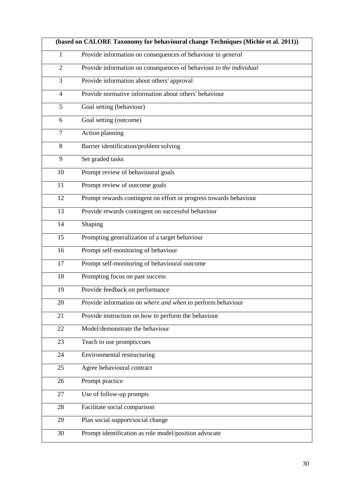|                | (based on CALORE Taxonomy for behavioural change Techniques (Michie et al. 2011)) |
|----------------|-----------------------------------------------------------------------------------|
| $\mathbf{1}$   | Provide information on consequences of behaviour in general                       |
| $\overline{2}$ | Provide information on consequences of behaviour to the individual                |
| 3              | Provide information about others' approval                                        |
| $\overline{4}$ | Provide normative information about others' behaviour                             |
| 5              | Goal setting (behaviour)                                                          |
| 6              | Goal setting (outcome)                                                            |
| 7              | Action planning                                                                   |
| 8              | Barrier identification/problem solving                                            |
| 9              | Set graded tasks                                                                  |
| 10             | Prompt review of behavioural goals                                                |
| 11             | Prompt review of outcome goals                                                    |
| 12             | Prompt rewards contingent on effort or progress towards behaviour                 |
| 13             | Provide rewards contingent on successful behaviour                                |
| 14             | Shaping                                                                           |
| 15             | Prompting generalization of a target behaviour                                    |
| 16             | Prompt self-monitoring of behaviour                                               |
| 17             | Prompt self-monitoring of behavioural outcome                                     |
| 18             | Prompting focus on past success                                                   |
| 19             | Provide feedback on performance                                                   |
| 20             | Provide information on where and when to perform behaviour                        |
| 21             | Provide instruction on how to perform the behaviour                               |
| 22             | Model/demonstrate the behaviour                                                   |
| 23             | Teach to use prompts/cues                                                         |
| 24             | Environmental restructuring                                                       |
| 25             | Agree behavioural contract                                                        |
| 26             | Prompt practice                                                                   |
| 27             | Use of follow-up prompts                                                          |
| 28             | Facilitate social comparison                                                      |
| 29             | Plan social support/social change                                                 |
| 30             | Prompt identification as role model/position advocate                             |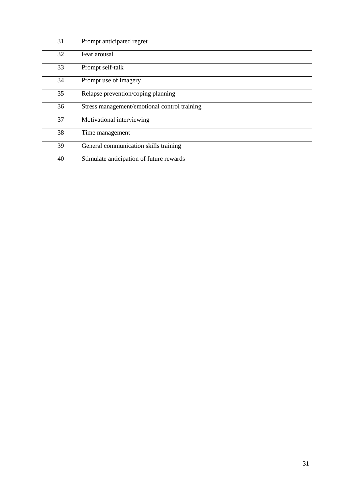| 31 | Prompt anticipated regret                    |
|----|----------------------------------------------|
| 32 | Fear arousal                                 |
| 33 | Prompt self-talk                             |
| 34 | Prompt use of imagery                        |
| 35 | Relapse prevention/coping planning           |
| 36 | Stress management/emotional control training |
| 37 | Motivational interviewing                    |
| 38 | Time management                              |
| 39 | General communication skills training        |
| 40 | Stimulate anticipation of future rewards     |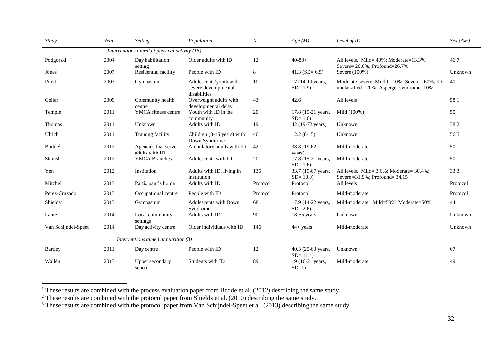| Study                            | Year | <b>Setting</b>                                | Population                                                     | $\boldsymbol{N}$ | Age(M)                            | Level of ID                                                                                                 | $Sex$ (%F) |
|----------------------------------|------|-----------------------------------------------|----------------------------------------------------------------|------------------|-----------------------------------|-------------------------------------------------------------------------------------------------------------|------------|
|                                  |      | Interventions aimed at physical activity (15) |                                                                |                  |                                   |                                                                                                             |            |
| Podgorski                        | 2004 | Day habilitation<br>setting                   | Older adults with ID                                           | 12               | $40 - 80 +$                       | All levels. Mild= 40%; Moderate=13.3%;<br>Severe= 20.0%; Profound=26.7%                                     | 46.7       |
| Jones                            | 2007 | Residential facility                          | People with ID                                                 | 8                | $41.3(SD=6.5)$                    | Severe (100%)                                                                                               | Unknown    |
| Pitetti                          | 2007 | Gymnasium                                     | Adolescents/youth with<br>severe developmental<br>disabilities | 10               | 17 (14-19 years,<br>$SD = 1.9$    | Moderate-severe. Mild I = $10\%$ ; Severe = $60\%$ ; ID<br>unclassified= $20\%$ ; Asperger syndrome= $10\%$ | 40         |
| Geller                           | 2009 | Community health<br>centre                    | Overweight adults with<br>developmental delay                  | 43               | 42.6                              | All levels                                                                                                  | 58.1       |
| Temple                           | 2011 | YMCA fitness centre                           | Youth with ID in the<br>community                              | $20\,$           | 17.8 (15-21 years,<br>$SD = 1.6$  | Mild (100%)                                                                                                 | 50         |
| Thomas                           | 2011 | Unknown                                       | Adults with ID                                                 | 191              | 42 (19-72 years)                  | Unknown                                                                                                     | 38.2       |
| Ulrich                           | 2011 | Training facility                             | Children (8-15 years) with<br>Down Syndrome                    | 46               | $12.2(8-15)$                      | Unknown                                                                                                     | 56.5       |
| Bodde <sup>1</sup>               | 2012 | Agencies that serve<br>adults with ID         | Ambulatory adults with ID                                      | 42               | 38.8 (19-62)<br>years)            | Mild-moderate                                                                                               | 50         |
| Stanish                          | 2012 | <b>YMCA Branches</b>                          | Adolescents with ID                                            | 20               | 17.8 (15-21 years,<br>$SD = 1.6$  | Mild-moderate                                                                                               | 50         |
| Yen                              | 2012 | Institution                                   | Adults with ID, living in<br>institution                       | 135              | 33.7 (19-67 years,<br>$SD = 10.0$ | All levels. Mild= 3.6%; Moderate= 30.4%;<br>Severe = $31.9\%$ ; Profound = $34.15$                          | 33.3       |
| Mitchell                         | 2013 | Participant's home                            | Adults with ID                                                 | Protocol         | Protocol                          | All levels                                                                                                  | Protocol   |
| Perez-Cruzado                    | 2013 | Occupational centre                           | People with ID                                                 | Protocol         | Protocol                          | Mild-moderate                                                                                               | Protocol   |
| Shields <sup>2</sup>             | 2013 | Gymnasium                                     | Adolescents with Down<br>Syndrome                              | 68               | 17.9 (14-22 years,<br>$SD = 2.6$  | Mild-moderate. Mild=50%; Moderate=50%                                                                       | 44         |
| Lante                            | 2014 | Local community<br>settings                   | Adults with ID                                                 | 90               | $18-55$ years                     | Unknown                                                                                                     | Unknown    |
| Van Schijndel-Speet <sup>3</sup> | 2014 | Day activity centre                           | Older individuals with ID                                      | 146              | $44+$ years                       | Mild-moderate                                                                                               | Unknown    |
|                                  |      | Interventions aimed at nutrition $(3)$        |                                                                |                  |                                   |                                                                                                             |            |
| Bartley                          | 2011 | Day centre                                    | People with ID                                                 | 12               | 40.3 (25-63 years,<br>$SD = 11.4$ | Unknown                                                                                                     | 67         |
| Wallén                           | 2013 | Upper secondary<br>school                     | Students with ID                                               | 89               | 19 (16-21 years,<br>$SD=1$ )      | Mild-moderate                                                                                               | 49         |

 $1$  These results are combined with the process evaluation paper from Bodde et al. (2012) describing the same study.

 $\ddot{\phantom{a}}$ 

 $2$  These results are combined with the protocol paper from Shields et al. (2010) describing the same study.

 $3$  These results are combined with the protocol paper from Van Schijndel-Speet et al. (2013) describing the same study.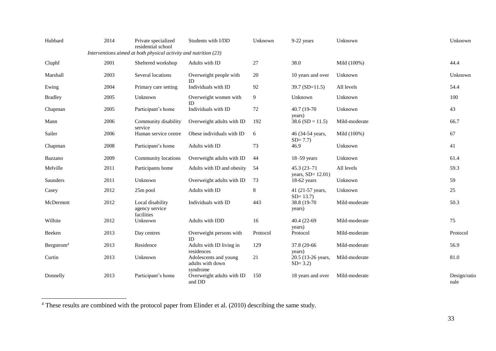| Hubbard                | 2014 | Private specialized<br>residential school                        | Students with I/DD                                    | Unknown        | 9-22 years                           | Unknown       | Unknown              |
|------------------------|------|------------------------------------------------------------------|-------------------------------------------------------|----------------|--------------------------------------|---------------|----------------------|
|                        |      | Interventions aimed at both physical activity and nutrition (23) |                                                       |                |                                      |               |                      |
| Cluphf                 | 2001 | Sheltered workshop                                               | Adults with ID                                        | 27             | 38.0                                 | Mild (100%)   | 44.4                 |
| Marshall               | 2003 | Several locations                                                | Overweight people with<br>ID                          | 20             | 10 years and over                    | Unknown       | Unknown              |
| Ewing                  | 2004 | Primary care setting                                             | Individuals with ID                                   | 92             | 39.7 $(SD=11.5)$                     | All levels    | 54.4                 |
| <b>Bradley</b>         | 2005 | Unknown                                                          | Overweight women with<br><b>ID</b>                    | $\overline{9}$ | Unknown                              | Unknown       | 100                  |
| Chapman                | 2005 | Participant's home                                               | Individuals with ID                                   | 72             | 40.7 (19-70)<br>years)               | Unknown       | 43                   |
| Mann                   | 2006 | Community disability<br>service                                  | Overweight adults with ID                             | 192            | $38.6$ (SD = 11.5)                   | Mild-moderate | 66.7                 |
| Sailer                 | 2006 | Human service centre                                             | Obese individuals with ID                             | 6              | 46 (34-54 years,<br>$SD = 7.7$       | Mild (100%)   | 67                   |
| Chapman                | 2008 | Participant's home                                               | Adults with ID                                        | 73             | 46.9                                 | Unknown       | 41                   |
| Bazzano                | 2009 | Community locations                                              | Overweight adults with ID                             | 44             | $18-59$ years                        | Unknown       | 61.4                 |
| Melville               | 2011 | Participants home                                                | Adults with ID and obesity                            | 54             | $45.3(23 - 71)$<br>years, SD= 12.01) | All levels    | 59.3                 |
| Saunders               | 2011 | Unknown                                                          | Overweight adults with ID                             | 73             | 18-62 years                          | Unknown       | 59                   |
| Casey                  | 2012 | 25m pool                                                         | Adults with ID                                        | $\,8\,$        | 41 (21-57 years,<br>$SD = 13.7$      | Unknown       | 25                   |
| McDermott              | 2012 | Local disability<br>agency service<br>facilities                 | Individuals with ID                                   | 443            | 38.8 (19-70)<br>years)               | Mild-moderate | 50.3                 |
| Wilhite                | 2012 | Unknown                                                          | Adults with IDD                                       | 16             | 40.4 (22-69)<br>years)               | Mild-moderate | 75                   |
| Beeken                 | 2013 | Day centres                                                      | Overweight persons with<br>ID                         | Protocol       | Protocol                             | Mild-moderate | Protocol             |
| Bergstrom <sup>4</sup> | 2013 | Residence                                                        | Adults with ID living in<br>residences                | 129            | 37.8 (20-66<br>years)                | Mild-moderate | 56.9                 |
| Curtin                 | 2013 | Unknown                                                          | Adolescents and young<br>adults with down<br>syndrome | 21             | 20.5 (13-26 years,<br>$SD = 3.2$     | Mild-moderate | 81.0                 |
| Donnelly               | 2013 | Participant's home                                               | Overweight adults with ID<br>and DD                   | 150            | 18 years and over                    | Mild-moderate | Design/ratio<br>nale |

 $4$  These results are combined with the protocol paper from Elinder et al. (2010) describing the same study.

 $\overline{a}$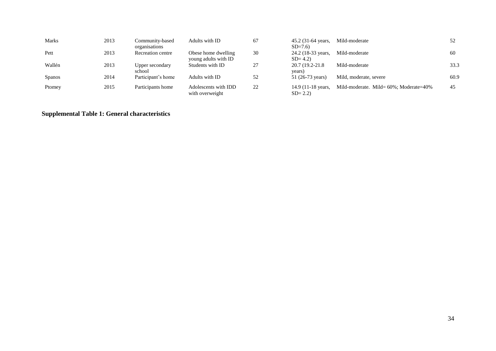| Marks         | 2013 | Community-based<br>organisations | Adults with ID                              | 67 | 45.2 $(31-64 \text{ years})$<br>$SD=7.6$   | Mild-moderate                                  | 52   |
|---------------|------|----------------------------------|---------------------------------------------|----|--------------------------------------------|------------------------------------------------|------|
| Pett          | 2013 | Recreation centre                | Obese home dwelling<br>young adults with ID | 30 | 24.2 (18-33 years,<br>$SD = 4.2$           | Mild-moderate                                  | 60   |
| Wallén        | 2013 | Upper secondary<br>school        | Students with ID                            | 27 | 20.7 (19.2-21.8)<br>years)                 | Mild-moderate                                  | 33.3 |
| <b>Spanos</b> | 2014 | Participant's home               | Adults with ID                              | 52 | 51 (26-73 years)                           | Mild, moderate, severe                         | 60.9 |
| Ptomey        | 2015 | Participants home                | Adolescents with IDD<br>with overweight     | 22 | 14.9 $(11-18 \text{ years})$<br>$SD = 2.2$ | Mild-moderate. Mild= $60\%$ ; Moderate= $40\%$ | 45   |

**Supplemental Table 1: General characteristics**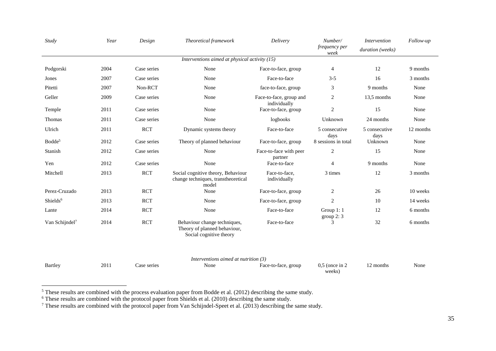| Study                      | Year | Design      | Theoretical framework                                                                   | Delivery                                | Number/<br>frequency per<br>week | <i>Intervention</i><br>duration (weeks) | Follow-up |
|----------------------------|------|-------------|-----------------------------------------------------------------------------------------|-----------------------------------------|----------------------------------|-----------------------------------------|-----------|
|                            |      |             | Interventions aimed at physical activity (15)                                           |                                         |                                  |                                         |           |
| Podgorski                  | 2004 | Case series | None                                                                                    | Face-to-face, group                     | 4                                | 12                                      | 9 months  |
| Jones                      | 2007 | Case series | None                                                                                    | Face-to-face                            | $3 - 5$                          | 16                                      | 3 months  |
| Pitetti                    | 2007 | Non-RCT     | None                                                                                    | face-to-face, group                     | 3                                | 9 months                                | None      |
| Geller                     | 2009 | Case series | None                                                                                    | Face-to-face, group and<br>individually | $\overline{2}$                   | 13,5 months                             | None      |
| Temple                     | 2011 | Case series | None                                                                                    | Face-to-face, group                     | $\overline{2}$                   | 15                                      | None      |
| Thomas                     | 2011 | Case series | None                                                                                    | logbooks                                | Unknown                          | 24 months                               | None      |
| Ulrich                     | 2011 | <b>RCT</b>  | Dynamic systems theory                                                                  | Face-to-face                            | 5 consecutive<br>days            | 5 consecutive<br>days                   | 12 months |
| Bodde <sup>5</sup>         | 2012 | Case series | Theory of planned behaviour                                                             | Face-to-face, group                     | 8 sessions in total              | Unknown                                 | None      |
| Stanish                    | 2012 | Case series | None                                                                                    | Face-to-face with peer<br>partner       | $\overline{2}$                   | 15                                      | None      |
| Yen                        | 2012 | Case series | None                                                                                    | Face-to-face                            | $\overline{4}$                   | 9 months                                | None      |
| Mitchell                   | 2013 | <b>RCT</b>  | Social cognitive theory, Behaviour<br>change techniques, transtheoretical<br>model      | Face-to-face,<br>individually           | 3 times                          | 12                                      | 3 months  |
| Perez-Cruzado              | 2013 | <b>RCT</b>  | None                                                                                    | Face-to-face, group                     | 2                                | 26                                      | 10 weeks  |
| Shields <sup>6</sup>       | 2013 | <b>RCT</b>  | None                                                                                    | Face-to-face, group                     | $\overline{c}$                   | 10                                      | 14 weeks  |
| Lante                      | 2014 | <b>RCT</b>  | None                                                                                    | Face-to-face                            | Group $1:1$<br>group 2: 3        | 12                                      | 6 months  |
| Van Schijndel <sup>7</sup> | 2014 | <b>RCT</b>  | Behaviour change techniques,<br>Theory of planned behaviour,<br>Social cognitive theory | Face-to-face                            | 3                                | 32                                      | 6 months  |
|                            |      |             | Interventions aimed at nutrition $(3)$                                                  |                                         |                                  |                                         |           |
| Bartley                    | 2011 | Case series | None                                                                                    | Face-to-face, group                     | $0,5$ (once in 2)<br>weeks)      | 12 months                               | None      |

 $5$  These results are combined with the process evaluation paper from Bodde et al. (2012) describing the same study.

1

 $6$  These results are combined with the protocol paper from Shields et al. (2010) describing the same study.

 $7$  These results are combined with the protocol paper from Van Schijndel-Speet et al. (2013) describing the same study.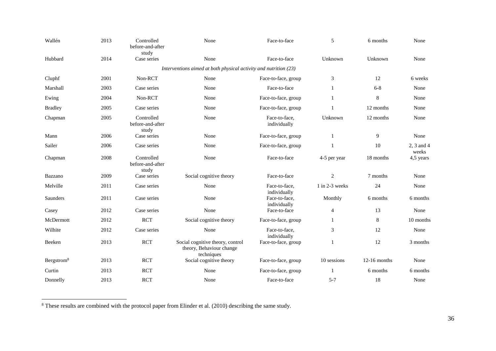| Wallén                 | 2013 | Controlled<br>before-and-after<br>study | None                                                                       | Face-to-face                  | 5                | 6 months       | None                |
|------------------------|------|-----------------------------------------|----------------------------------------------------------------------------|-------------------------------|------------------|----------------|---------------------|
| Hubbard                | 2014 | Case series                             | None                                                                       | Face-to-face                  | Unknown          | Unknown        | None                |
|                        |      |                                         | Interventions aimed at both physical activity and nutrition (23)           |                               |                  |                |                     |
| Cluphf                 | 2001 | Non-RCT                                 | None                                                                       | Face-to-face, group           | 3                | 12             | 6 weeks             |
| Marshall               | 2003 | Case series                             | None                                                                       | Face-to-face                  | 1                | $6 - 8$        | None                |
| Ewing                  | 2004 | Non-RCT                                 | None                                                                       | Face-to-face, group           | $\mathbf{1}$     | 8              | None                |
| <b>Bradley</b>         | 2005 | Case series                             | None                                                                       | Face-to-face, group           | 1                | 12 months      | None                |
| Chapman                | 2005 | Controlled<br>before-and-after<br>study | None                                                                       | Face-to-face,<br>individually | Unknown          | 12 months      | None                |
| Mann                   | 2006 | Case series                             | None                                                                       | Face-to-face, group           | 1                | 9              | None                |
| Sailer                 | 2006 | Case series                             | None                                                                       | Face-to-face, group           | $\mathbf{1}$     | 10             | 2, 3 and 4<br>weeks |
| Chapman                | 2008 | Controlled<br>before-and-after<br>study | None                                                                       | Face-to-face                  | 4-5 per year     | 18 months      | 4,5 years           |
| Bazzano                | 2009 | Case series                             | Social cognitive theory                                                    | Face-to-face                  | $\overline{c}$   | 7 months       | None                |
| Melville               | 2011 | Case series                             | None                                                                       | Face-to-face,<br>individually | $1$ in 2-3 weeks | 24             | None                |
| Saunders               | 2011 | Case series                             | None                                                                       | Face-to-face,<br>individually | Monthly          | 6 months       | 6 months            |
| Casey                  | 2012 | Case series                             | None                                                                       | Face-to-face                  | $\overline{4}$   | 13             | None                |
| McDermott              | 2012 | <b>RCT</b>                              | Social cognitive theory                                                    | Face-to-face, group           | $\mathbf{1}$     | 8              | 10 months           |
| Wilhite                | 2012 | Case series                             | None                                                                       | Face-to-face,<br>individually | 3                | 12             | None                |
| Beeken                 | 2013 | <b>RCT</b>                              | Social cognitive theory, control<br>theory, Behaviour change<br>techniques | Face-to-face, group           | $\mathbf{1}$     | 12             | 3 months            |
| Bergstrom <sup>8</sup> | 2013 | <b>RCT</b>                              | Social cognitive theory                                                    | Face-to-face, group           | 10 sessions      | $12-16$ months | None                |
| Curtin                 | 2013 | <b>RCT</b>                              | None                                                                       | Face-to-face, group           | $\mathbf{1}$     | 6 months       | 6 months            |
| Donnelly               | 2013 | <b>RCT</b>                              | None                                                                       | Face-to-face                  | $5 - 7$          | 18             | None                |

 $\overline{a}$ 

 $8$  These results are combined with the protocol paper from Elinder et al. (2010) describing the same study.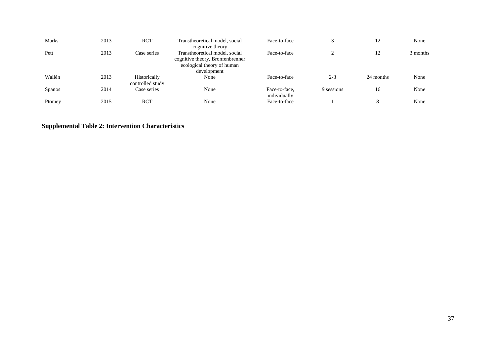| <b>Marks</b>  | 2013 | <b>RCT</b>                       | Transtheoretical model, social<br>cognitive theory                                                              | Face-to-face                  |            | 12<br>14  | None     |
|---------------|------|----------------------------------|-----------------------------------------------------------------------------------------------------------------|-------------------------------|------------|-----------|----------|
| Pett          | 2013 | Case series                      | Transtheoretical model, social<br>cognitive theory, Bronfenbrenner<br>ecological theory of human<br>development | Face-to-face                  | ◠          | 12        | 3 months |
| Wallén        | 2013 | Historically<br>controlled study | None                                                                                                            | Face-to-face                  | $2 - 3$    | 24 months | None     |
| <b>Spanos</b> | 2014 | Case series                      | None                                                                                                            | Face-to-face.<br>individually | 9 sessions | 16        | None     |
| Ptomey        | 2015 | <b>RCT</b>                       | None                                                                                                            | Face-to-face                  |            | Ō         | None     |

**Supplemental Table 2: Intervention Characteristics**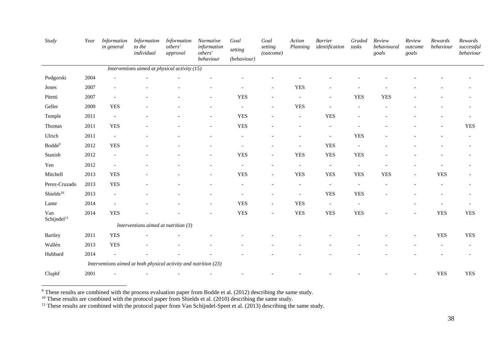| Study                          | Year | Information<br>in general | Information<br>to the<br>individual                              | Information<br>others'<br>approval | Normative<br>information<br>others' | Goal<br>setting          | Goal<br>setting<br>(outcome) | Action<br>Planning       | Barrier<br>identification | Graded<br>tasks | Review<br>behavioural<br>goals | Review<br>outcome<br>goals | Rewards<br>behaviour | Rewards<br>successful<br>behaviour |
|--------------------------------|------|---------------------------|------------------------------------------------------------------|------------------------------------|-------------------------------------|--------------------------|------------------------------|--------------------------|---------------------------|-----------------|--------------------------------|----------------------------|----------------------|------------------------------------|
|                                |      |                           |                                                                  |                                    | behaviour                           | (behaviour)              |                              |                          |                           |                 |                                |                            |                      |                                    |
|                                |      |                           | Interventions aimed at physical activity (15)                    |                                    |                                     |                          |                              |                          |                           |                 |                                |                            |                      |                                    |
| Podgorski                      | 2004 |                           |                                                                  |                                    |                                     |                          |                              |                          |                           |                 |                                |                            |                      |                                    |
| Jones                          | 2007 |                           |                                                                  |                                    |                                     |                          |                              | <b>YES</b>               |                           |                 |                                |                            |                      |                                    |
| Pitetti                        | 2007 | $\overline{\phantom{a}}$  |                                                                  |                                    | $\overline{\phantom{a}}$            | <b>YES</b>               | $\overline{\phantom{a}}$     |                          | $\overline{\phantom{a}}$  | <b>YES</b>      | <b>YES</b>                     |                            |                      |                                    |
| Geller                         | 2009 | <b>YES</b>                |                                                                  |                                    |                                     | $\overline{\phantom{a}}$ | $\overline{\phantom{a}}$     | <b>YES</b>               |                           |                 |                                |                            |                      |                                    |
| Temple                         | 2011 | $\sim$                    |                                                                  |                                    | $\overline{\phantom{a}}$            | <b>YES</b>               |                              | $\overline{\phantom{a}}$ | <b>YES</b>                |                 |                                |                            |                      | $\overline{\phantom{a}}$           |
| Thomas                         | 2011 | <b>YES</b>                |                                                                  |                                    | $\overline{\phantom{a}}$            | <b>YES</b>               |                              |                          |                           |                 |                                |                            |                      | <b>YES</b>                         |
| Ulrich                         | 2011 | $\overline{\phantom{a}}$  |                                                                  |                                    |                                     |                          |                              |                          | $\overline{\phantom{a}}$  | <b>YES</b>      |                                |                            |                      | $\overline{\phantom{a}}$           |
| $\mathbf{B} \mathbf{odde}^9$   | 2012 | <b>YES</b>                |                                                                  |                                    |                                     |                          |                              |                          | <b>YES</b>                |                 |                                |                            |                      |                                    |
| Stanish                        | 2012 | $\overline{\phantom{a}}$  |                                                                  |                                    | $\overline{\phantom{a}}$            | <b>YES</b>               | $\overline{\phantom{a}}$     | <b>YES</b>               | <b>YES</b>                | <b>YES</b>      |                                |                            |                      |                                    |
| Yen                            | 2012 | $\sim$                    |                                                                  |                                    |                                     |                          |                              |                          |                           |                 |                                |                            |                      |                                    |
| Mitchell                       | 2013 | <b>YES</b>                |                                                                  |                                    |                                     | <b>YES</b>               | $\overline{\phantom{a}}$     | <b>YES</b>               | <b>YES</b>                | <b>YES</b>      | <b>YES</b>                     |                            | <b>YES</b>           |                                    |
| Perez-Cruzado                  | 2013 | <b>YES</b>                |                                                                  |                                    |                                     |                          |                              |                          |                           |                 |                                |                            |                      |                                    |
| Shields <sup>10</sup>          | 2013 | $\blacksquare$            |                                                                  |                                    |                                     |                          |                              |                          | <b>YES</b>                | <b>YES</b>      |                                |                            |                      |                                    |
| Lante                          | 2014 | $\overline{\phantom{a}}$  |                                                                  |                                    |                                     | <b>YES</b>               | $\overline{\phantom{a}}$     | <b>YES</b>               | $\sim$                    |                 |                                |                            |                      |                                    |
| Van<br>Schijndel <sup>11</sup> | 2014 | <b>YES</b>                |                                                                  |                                    |                                     | <b>YES</b>               | $\overline{\phantom{a}}$     | <b>YES</b>               | <b>YES</b>                | <b>YES</b>      |                                |                            | <b>YES</b>           | <b>YES</b>                         |
|                                |      |                           | Interventions aimed at nutrition $(3)$                           |                                    |                                     |                          |                              |                          |                           |                 |                                |                            |                      |                                    |
| <b>Bartley</b>                 | 2011 | <b>YES</b>                |                                                                  |                                    |                                     |                          |                              |                          |                           |                 |                                |                            | <b>YES</b>           | <b>YES</b>                         |
| Wallén                         | 2013 | <b>YES</b>                |                                                                  |                                    |                                     |                          |                              |                          |                           |                 |                                |                            |                      | $\sim$                             |
| Hubbard                        | 2014 |                           |                                                                  |                                    |                                     |                          |                              |                          |                           |                 |                                |                            |                      |                                    |
|                                |      |                           | Interventions aimed at both physical activity and nutrition (23) |                                    |                                     |                          |                              |                          |                           |                 |                                |                            |                      |                                    |
| Cluphf                         | 2001 | $\sim$                    |                                                                  | $\overline{\phantom{a}}$           | $\overline{\phantom{a}}$            |                          |                              |                          |                           |                 |                                |                            | <b>YES</b>           | <b>YES</b>                         |

 $9$  These results are combined with the process evaluation paper from Bodde et al. (2012) describing the same study.

1

 $10$  These results are combined with the protocol paper from Shields et al. (2010) describing the same study.

 $11$  These results are combined with the protocol paper from Van Schijndel-Speet et al. (2013) describing the same study.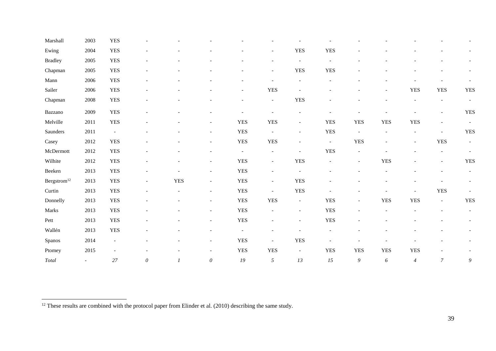| Marshall             | 2003 | <b>YES</b>               |                           |                          |                          |                          |                          |                          |                          |                          |                |                          |                          |                          |
|----------------------|------|--------------------------|---------------------------|--------------------------|--------------------------|--------------------------|--------------------------|--------------------------|--------------------------|--------------------------|----------------|--------------------------|--------------------------|--------------------------|
| Ewing                | 2004 | <b>YES</b>               |                           |                          |                          |                          | $\overline{\phantom{a}}$ | <b>YES</b>               | <b>YES</b>               |                          |                |                          |                          |                          |
| <b>Bradley</b>       | 2005 | <b>YES</b>               |                           |                          |                          |                          | $\overline{\phantom{a}}$ | $\blacksquare$           | $\overline{\phantom{a}}$ |                          |                |                          |                          |                          |
| Chapman              | 2005 | <b>YES</b>               |                           |                          |                          |                          | $\overline{\phantom{a}}$ | <b>YES</b>               | <b>YES</b>               |                          |                |                          |                          |                          |
| Mann                 | 2006 | <b>YES</b>               |                           |                          |                          | $\overline{\phantom{a}}$ | $\overline{\phantom{a}}$ | $\overline{\phantom{a}}$ | $\overline{\phantom{0}}$ | $\overline{\phantom{0}}$ |                |                          | $\qquad \qquad -$        |                          |
| Sailer               | 2006 | <b>YES</b>               |                           |                          |                          | $\overline{\phantom{a}}$ | <b>YES</b>               | $\overline{a}$           |                          |                          |                | <b>YES</b>               | <b>YES</b>               | <b>YES</b>               |
| Chapman              | 2008 | <b>YES</b>               |                           |                          |                          | $\overline{\phantom{a}}$ | $\sim$                   | <b>YES</b>               | $\qquad \qquad -$        | $\overline{a}$           |                | $\overline{\phantom{a}}$ | $\blacksquare$           | $\sim$                   |
| Bazzano              | 2009 | <b>YES</b>               |                           |                          | $\blacksquare$           | $\overline{\phantom{a}}$ | $\overline{\phantom{a}}$ | $\overline{\phantom{0}}$ | $\overline{\phantom{a}}$ | $\overline{\phantom{a}}$ |                |                          | $\overline{a}$           | <b>YES</b>               |
| Melville             | 2011 | <b>YES</b>               |                           |                          | $\overline{\phantom{a}}$ | <b>YES</b>               | <b>YES</b>               | $\overline{\phantom{a}}$ | <b>YES</b>               | <b>YES</b>               | <b>YES</b>     | <b>YES</b>               | $\overline{\phantom{a}}$ | $\sim$                   |
| Saunders             | 2011 | $\overline{\phantom{a}}$ |                           |                          | $\overline{\phantom{a}}$ | <b>YES</b>               | $\overline{\phantom{a}}$ | $\overline{\phantom{a}}$ | <b>YES</b>               | $\overline{\phantom{a}}$ | $\sim$         | $\sim$                   | $\overline{\phantom{a}}$ | <b>YES</b>               |
| Casey                | 2012 | <b>YES</b>               |                           |                          | $\overline{\phantom{a}}$ | <b>YES</b>               | <b>YES</b>               | $\overline{\phantom{a}}$ | $\overline{\phantom{a}}$ | <b>YES</b>               | $\blacksquare$ | $\overline{\phantom{a}}$ | <b>YES</b>               | $\overline{\phantom{0}}$ |
| McDermott            | 2012 | <b>YES</b>               |                           |                          | $\overline{\phantom{a}}$ | $\overline{\phantom{a}}$ | $\overline{\phantom{a}}$ | $\overline{\phantom{a}}$ | <b>YES</b>               | $\overline{\phantom{a}}$ |                |                          | $\overline{\phantom{a}}$ |                          |
| Wilhite              | 2012 | <b>YES</b>               |                           |                          | $\overline{\phantom{a}}$ | <b>YES</b>               | $\overline{\phantom{a}}$ | <b>YES</b>               | $\overline{\phantom{a}}$ | $\sim$                   | <b>YES</b>     |                          | $\overline{\phantom{a}}$ | <b>YES</b>               |
| Beeken               | 2013 | <b>YES</b>               |                           | $\overline{\phantom{a}}$ | $\overline{\phantom{a}}$ | <b>YES</b>               | $\overline{\phantom{a}}$ | $\overline{\phantom{a}}$ | $\overline{\phantom{a}}$ | $\overline{a}$           | $\blacksquare$ |                          |                          | $\overline{\phantom{a}}$ |
| $\rm Bergstrom^{12}$ | 2013 | <b>YES</b>               | $\overline{\phantom{a}}$  | <b>YES</b>               | $\overline{\phantom{a}}$ | <b>YES</b>               | $ \,$                    | <b>YES</b>               | $\overline{a}$           |                          |                |                          |                          |                          |
| Curtin               | 2013 | <b>YES</b>               |                           |                          | $\overline{\phantom{a}}$ | <b>YES</b>               | $\overline{\phantom{a}}$ | <b>YES</b>               |                          |                          |                | $\overline{\phantom{a}}$ | <b>YES</b>               | $\sim$                   |
| Donnelly             | 2013 | <b>YES</b>               |                           |                          | $\sim$                   | <b>YES</b>               | <b>YES</b>               | $\overline{\phantom{a}}$ | <b>YES</b>               | $\blacksquare$           | <b>YES</b>     | <b>YES</b>               | $\blacksquare$           | <b>YES</b>               |
| Marks                | 2013 | <b>YES</b>               |                           |                          | $\overline{\phantom{a}}$ | <b>YES</b>               | $\overline{\phantom{a}}$ | $\overline{\phantom{a}}$ | <b>YES</b>               | $\overline{\phantom{a}}$ | $\blacksquare$ | $\overline{\phantom{a}}$ | $\overline{\phantom{a}}$ | $\overline{\phantom{a}}$ |
| Pett                 | 2013 | <b>YES</b>               |                           |                          | $\overline{\phantom{a}}$ | <b>YES</b>               | $\overline{\phantom{a}}$ | $\overline{\phantom{a}}$ | <b>YES</b>               | $\overline{a}$           |                |                          |                          |                          |
| Wallén               | 2013 | <b>YES</b>               |                           |                          |                          | $\overline{\phantom{a}}$ |                          |                          |                          |                          |                |                          |                          |                          |
| Spanos               | 2014 | $\overline{\phantom{a}}$ |                           |                          | $\overline{\phantom{a}}$ | <b>YES</b>               | $ \,$                    | <b>YES</b>               | $\overline{\phantom{a}}$ |                          |                |                          |                          |                          |
| Ptomey               | 2015 | $\overline{\phantom{a}}$ |                           |                          | $\sim$                   | <b>YES</b>               | <b>YES</b>               | $\sim$                   | <b>YES</b>               | <b>YES</b>               | <b>YES</b>     | <b>YES</b>               | $\overline{\phantom{a}}$ |                          |
| Total                |      | 27                       | $\boldsymbol{\mathit{0}}$ | $\mathcal{I}$            | $\boldsymbol{\theta}$    | 19                       | 5                        | 13                       | 15                       | 9                        | 6              | $\overline{4}$           | $\mathcal{I}$            | 9                        |

 $\overline{a}$ 

 $12$  These results are combined with the protocol paper from Elinder et al. (2010) describing the same study.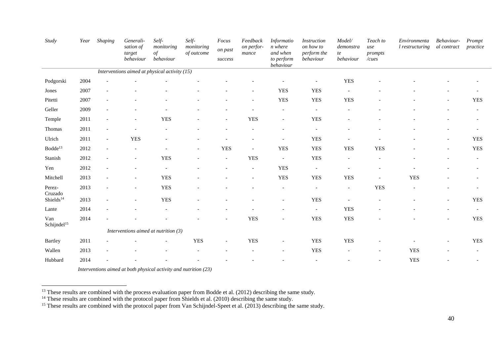| Study                           | Year | Shaping   | Generali-<br>sation of<br>target<br>behaviour | Self-<br>monitoring<br>$\circ f$<br>behaviour | Self-<br>monitoring<br>of outcome | $Focus$<br>on past<br>success | Feedback<br>on perfor-<br>mance | Informatio<br>n where<br>and when<br>to perform<br>behaviour | Instruction<br>on how to<br>perform the<br>behaviour | Model/<br>demonstra<br>te<br>behaviour | $\emph{Teach}$ to<br>use<br>prompts<br>/cues | Environmenta<br>l restructuring | Behaviour-<br>al contract | Prompt<br>practice       |
|---------------------------------|------|-----------|-----------------------------------------------|-----------------------------------------------|-----------------------------------|-------------------------------|---------------------------------|--------------------------------------------------------------|------------------------------------------------------|----------------------------------------|----------------------------------------------|---------------------------------|---------------------------|--------------------------|
|                                 |      |           |                                               | Interventions aimed at physical activity (15) |                                   |                               |                                 |                                                              |                                                      |                                        |                                              |                                 |                           |                          |
| Podgorski                       | 2004 |           |                                               |                                               |                                   |                               |                                 |                                                              | $\overline{\phantom{a}}$                             | <b>YES</b>                             |                                              |                                 |                           |                          |
| Jones                           | 2007 |           |                                               |                                               |                                   |                               |                                 | <b>YES</b>                                                   | <b>YES</b>                                           | $\overline{\phantom{a}}$               |                                              |                                 |                           |                          |
| Pitetti                         | 2007 |           |                                               |                                               |                                   |                               | $\overline{a}$                  | <b>YES</b>                                                   | <b>YES</b>                                           | <b>YES</b>                             |                                              |                                 | $\overline{a}$            | <b>YES</b>               |
| Geller                          | 2009 |           |                                               |                                               |                                   |                               |                                 |                                                              |                                                      |                                        |                                              |                                 |                           |                          |
| Temple                          | 2011 |           |                                               | <b>YES</b>                                    |                                   |                               | <b>YES</b>                      | $\overline{\phantom{a}}$                                     | <b>YES</b>                                           |                                        |                                              |                                 |                           |                          |
| Thomas                          | 2011 |           |                                               |                                               |                                   |                               |                                 | $\overline{a}$                                               | $\overline{\phantom{a}}$                             |                                        |                                              |                                 |                           |                          |
| Ulrich                          | 2011 | $\bar{a}$ | <b>YES</b>                                    |                                               |                                   |                               |                                 | $\overline{\phantom{a}}$                                     | <b>YES</b>                                           |                                        |                                              |                                 | $\overline{\phantom{a}}$  | <b>YES</b>               |
| $\mathbf{B} \mathbf{odde}^{13}$ | 2012 |           | $\overline{\phantom{a}}$                      |                                               | $\overline{\phantom{a}}$          | <b>YES</b>                    | $\overline{\phantom{a}}$        | <b>YES</b>                                                   | <b>YES</b>                                           | <b>YES</b>                             | <b>YES</b>                                   |                                 | $\overline{\phantom{a}}$  | <b>YES</b>               |
| Stanish                         | 2012 |           | $\overline{\phantom{a}}$                      | <b>YES</b>                                    |                                   | $\blacksquare$                | <b>YES</b>                      | $\overline{\phantom{a}}$                                     | <b>YES</b>                                           |                                        |                                              |                                 |                           |                          |
| Yen                             | 2012 |           |                                               |                                               |                                   |                               | $\overline{\phantom{a}}$        | <b>YES</b>                                                   | $\overline{\phantom{a}}$                             |                                        |                                              |                                 |                           |                          |
| Mitchell                        | 2013 |           | $\overline{\phantom{a}}$                      | <b>YES</b>                                    |                                   |                               | $\frac{1}{2}$                   | <b>YES</b>                                                   | <b>YES</b>                                           | <b>YES</b>                             | $\overline{\phantom{a}}$                     | <b>YES</b>                      |                           |                          |
| Perez-<br>Cruzado               | 2013 |           | $\overline{\phantom{a}}$                      | <b>YES</b>                                    |                                   |                               |                                 | $\overline{\phantom{a}}$                                     |                                                      | $\overline{\phantom{a}}$               | <b>YES</b>                                   |                                 |                           |                          |
| $\mathbf{Shields}^{14}$         | 2013 |           | $\overline{\phantom{a}}$                      | <b>YES</b>                                    |                                   |                               |                                 | $\overline{\phantom{a}}$                                     | <b>YES</b>                                           |                                        |                                              |                                 | $\overline{\phantom{a}}$  | <b>YES</b>               |
| Lante                           | 2014 |           |                                               |                                               |                                   |                               |                                 | $\overline{\phantom{a}}$                                     | $\overline{\phantom{a}}$                             | <b>YES</b>                             |                                              |                                 | $\overline{\phantom{a}}$  | $\overline{\phantom{a}}$ |
| Van<br>$\rm Schijndel^{15}$     | 2014 |           |                                               |                                               |                                   |                               | <b>YES</b>                      |                                                              | <b>YES</b>                                           | <b>YES</b>                             |                                              |                                 |                           | <b>YES</b>               |
|                                 |      |           |                                               | Interventions aimed at nutrition $(3)$        |                                   |                               |                                 |                                                              |                                                      |                                        |                                              |                                 |                           |                          |
| Bartley                         | 2011 |           |                                               |                                               | <b>YES</b>                        | $\overline{\phantom{a}}$      | <b>YES</b>                      | $\overline{\phantom{a}}$                                     | <b>YES</b>                                           | <b>YES</b>                             |                                              |                                 |                           | <b>YES</b>               |
| Wallen                          | 2013 |           |                                               |                                               | $\overline{a}$                    |                               | $\overline{\phantom{a}}$        | $\overline{\phantom{a}}$                                     | <b>YES</b>                                           | $\overline{\phantom{a}}$               | $\overline{\phantom{a}}$                     | <b>YES</b>                      |                           |                          |
| Hubbard                         | 2014 |           |                                               |                                               |                                   |                               |                                 |                                                              |                                                      |                                        | $\overline{\phantom{a}}$                     | <b>YES</b>                      |                           |                          |

*Interventions aimed at both physical activity and nutrition (23)*

1

 $13$  These results are combined with the process evaluation paper from Bodde et al. (2012) describing the same study.

<sup>&</sup>lt;sup>14</sup> These results are combined with the protocol paper from Shields et al. (2010) describing the same study.

<sup>&</sup>lt;sup>15</sup> These results are combined with the protocol paper from Van Schijndel-Speet et al. (2013) describing the same study.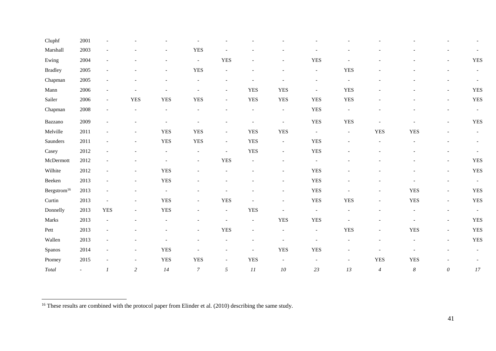| Cluphf               | 2001                     |                          |                          |                          |                          |                          |                          |                          |                          |                          |                          |                |                          |                          |
|----------------------|--------------------------|--------------------------|--------------------------|--------------------------|--------------------------|--------------------------|--------------------------|--------------------------|--------------------------|--------------------------|--------------------------|----------------|--------------------------|--------------------------|
| Marshall             | 2003                     |                          |                          |                          | <b>YES</b>               |                          |                          |                          |                          |                          |                          |                |                          |                          |
| Ewing                | 2004                     | $\blacksquare$           |                          |                          | $\overline{\phantom{a}}$ | <b>YES</b>               |                          |                          | <b>YES</b>               | $\overline{\phantom{a}}$ |                          |                | $\overline{a}$           | <b>YES</b>               |
| <b>Bradley</b>       | 2005                     | $\overline{\phantom{a}}$ | $\overline{\phantom{a}}$ | $\overline{\phantom{a}}$ | <b>YES</b>               | $\overline{\phantom{a}}$ | $\overline{\phantom{a}}$ |                          | $\overline{\phantom{a}}$ | <b>YES</b>               |                          |                | $\qquad \qquad -$        | $\overline{\phantom{a}}$ |
| Chapman              | 2005                     | $\blacksquare$           | -                        |                          | $\overline{\phantom{a}}$ | $\overline{\phantom{a}}$ |                          |                          | $\overline{\phantom{a}}$ | $\overline{\phantom{a}}$ |                          |                |                          | $\overline{\phantom{a}}$ |
| Mann                 | 2006                     | $\overline{\phantom{a}}$ | $\sim$                   | $\sim$                   | $\sim$                   | $\overline{\phantom{a}}$ | <b>YES</b>               | <b>YES</b>               | $\overline{\phantom{a}}$ | <b>YES</b>               |                          |                | $\overline{\phantom{a}}$ | <b>YES</b>               |
| Sailer               | 2006                     | $\overline{\phantom{a}}$ | <b>YES</b>               | <b>YES</b>               | <b>YES</b>               | $\overline{\phantom{a}}$ | <b>YES</b>               | <b>YES</b>               | <b>YES</b>               | <b>YES</b>               |                          |                | $\overline{\phantom{0}}$ | ${\tt YES}$              |
| Chapman              | 2008                     | $\blacksquare$           |                          |                          | $\overline{\phantom{a}}$ |                          |                          | $\overline{\phantom{a}}$ | <b>YES</b>               | $\overline{\phantom{a}}$ |                          |                |                          | $\overline{\phantom{a}}$ |
| Bazzano              | 2009                     | $\bar{a}$                | $\overline{\phantom{a}}$ | $\overline{\phantom{a}}$ | $\overline{a}$           | $\overline{\phantom{a}}$ | $\overline{a}$           | $\overline{\phantom{a}}$ | <b>YES</b>               | <b>YES</b>               | $\overline{\phantom{a}}$ | $\overline{a}$ | $\overline{\phantom{0}}$ | <b>YES</b>               |
| Melville             | 2011                     | $\bar{a}$                | $\blacksquare$           | <b>YES</b>               | <b>YES</b>               | $\overline{\phantom{a}}$ | <b>YES</b>               | <b>YES</b>               | $\blacksquare$           | $\sim$                   | <b>YES</b>               | <b>YES</b>     |                          | $\sim$                   |
| Saunders             | 2011                     | $\sim$                   |                          | <b>YES</b>               | <b>YES</b>               | $\blacksquare$           | <b>YES</b>               | $\overline{\phantom{a}}$ | <b>YES</b>               |                          | $\overline{a}$           |                |                          | $\blacksquare$           |
| Casey                | 2012                     | $\bar{a}$                |                          |                          | $\overline{\phantom{a}}$ | $\sim$                   | <b>YES</b>               | $\sim$                   | <b>YES</b>               |                          |                          |                |                          | $\blacksquare$           |
| McDermott            | 2012                     | $\overline{\phantom{a}}$ |                          |                          | $\blacksquare$           | <b>YES</b>               |                          |                          | $\overline{\phantom{a}}$ |                          |                          |                | $\qquad \qquad -$        | <b>YES</b>               |
| Wilhite              | 2012                     | $\overline{\phantom{a}}$ | $\overline{\phantom{a}}$ | <b>YES</b>               |                          | $\blacksquare$           |                          | $\overline{\phantom{a}}$ | <b>YES</b>               |                          |                          |                | $\overline{\phantom{a}}$ | <b>YES</b>               |
| Beeken               | 2013                     | $\blacksquare$           | $\overline{\phantom{a}}$ | <b>YES</b>               |                          |                          |                          | $\overline{\phantom{a}}$ | <b>YES</b>               |                          |                          |                |                          | $\sim$                   |
| $\rm Bergstrom^{16}$ | 2013                     | $\blacksquare$           | $\overline{\phantom{a}}$ | $\blacksquare$           | $\overline{\phantom{a}}$ | $\overline{\phantom{a}}$ |                          | $\sim$                   | <b>YES</b>               | $\overline{\phantom{a}}$ | $\overline{\phantom{a}}$ | <b>YES</b>     | $\overline{\phantom{a}}$ | <b>YES</b>               |
| Curtin               | 2013                     | $\sim$                   | $\blacksquare$           | <b>YES</b>               | $\overline{\phantom{a}}$ | <b>YES</b>               | $\overline{\phantom{a}}$ | $\overline{\phantom{a}}$ | <b>YES</b>               | <b>YES</b>               | $\overline{\phantom{a}}$ | <b>YES</b>     | $\overline{a}$           | <b>YES</b>               |
| Donnelly             | 2013                     | <b>YES</b>               | $\blacksquare$           | <b>YES</b>               | $\overline{a}$           | $\blacksquare$           | <b>YES</b>               |                          | $\blacksquare$           | $\overline{a}$           |                          |                | $\overline{a}$           | $\overline{\phantom{a}}$ |
| Marks                | 2013                     | $\sim$                   |                          |                          |                          | $\overline{a}$           | $\sim$                   | <b>YES</b>               | <b>YES</b>               | $\overline{a}$           |                          |                | $\overline{a}$           | <b>YES</b>               |
| Pett                 | 2013                     | $\blacksquare$           |                          |                          | $\overline{\phantom{a}}$ | <b>YES</b>               |                          |                          | $\overline{\phantom{a}}$ | <b>YES</b>               | $\overline{a}$           | <b>YES</b>     | $\overline{\phantom{a}}$ | <b>YES</b>               |
| Wallen               | 2013                     | $\blacksquare$           | $\blacksquare$           | $\overline{\phantom{a}}$ | $\overline{a}$           | $\sim$                   | $\overline{\phantom{a}}$ | $\overline{\phantom{a}}$ | $\overline{\phantom{a}}$ | $\overline{\phantom{a}}$ | $\overline{\phantom{0}}$ | $\overline{a}$ | $\overline{\phantom{a}}$ | <b>YES</b>               |
| Spanos               | 2014                     | $\blacksquare$           | $\overline{\phantom{a}}$ | <b>YES</b>               |                          |                          | $\overline{\phantom{a}}$ | <b>YES</b>               | <b>YES</b>               |                          |                          |                |                          | $\overline{\phantom{a}}$ |
| Ptomey               | 2015                     | $\blacksquare$           | $\blacksquare$           | <b>YES</b>               | <b>YES</b>               | $\overline{\phantom{a}}$ | <b>YES</b>               | $\overline{\phantom{a}}$ | $\overline{\phantom{a}}$ | $\overline{\phantom{a}}$ | <b>YES</b>               | <b>YES</b>     |                          |                          |
| Total                | $\overline{\phantom{a}}$ | $\mathcal{I}$            | $\overline{2}$           | 14                       | $\boldsymbol{7}$         | 5                        | 11                       | ${\it 10}$               | 23                       | 13                       | $\overline{4}$           | 8              | $\boldsymbol{\theta}$    | 17                       |

 $\overline{a}$ 

<sup>&</sup>lt;sup>16</sup> These results are combined with the protocol paper from Elinder et al. (2010) describing the same study.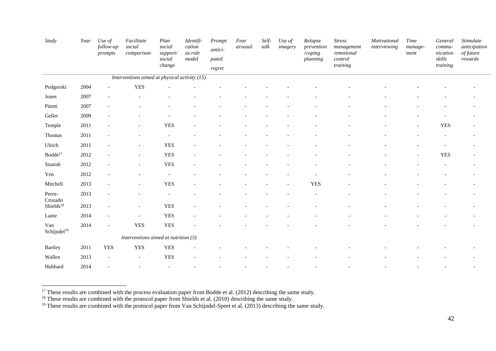| Study                            | Year | Use of<br>follow-up<br>prompts | Facilitate<br>social<br>comparison            | Plan<br>social<br>support/<br>social | Identifi-<br>$cation$<br>as role<br>model | Prompt<br>antici-<br>pated | Fear<br>arousal | Self-<br>$\mathit{talk}$ | Use of<br>imagery | Relapse<br>prevention<br>/coping<br>planning | <b>Stress</b><br>management<br>/emotional<br>control | Motivational<br>interviewing | $\emph{Time}$<br>manage-<br>ment | General<br>commu-<br>nication<br>skills | Stimulate<br>anticipation<br><i>of future</i><br>rewards |
|----------------------------------|------|--------------------------------|-----------------------------------------------|--------------------------------------|-------------------------------------------|----------------------------|-----------------|--------------------------|-------------------|----------------------------------------------|------------------------------------------------------|------------------------------|----------------------------------|-----------------------------------------|----------------------------------------------------------|
|                                  |      |                                |                                               | change                               |                                           | regret                     |                 |                          |                   |                                              | training                                             |                              |                                  | training                                |                                                          |
|                                  |      |                                | Interventions aimed at physical activity (15) |                                      |                                           |                            |                 |                          |                   |                                              |                                                      |                              |                                  |                                         |                                                          |
| Podgorski                        | 2004 |                                | <b>YES</b>                                    |                                      |                                           |                            |                 |                          |                   |                                              |                                                      |                              |                                  |                                         |                                                          |
| Jones                            | 2007 | $\overline{a}$                 |                                               |                                      |                                           |                            |                 |                          |                   |                                              |                                                      |                              |                                  |                                         |                                                          |
| Pitetti                          | 2007 |                                |                                               |                                      |                                           |                            |                 |                          |                   |                                              |                                                      |                              |                                  |                                         |                                                          |
| Geller                           | 2009 |                                |                                               |                                      |                                           |                            |                 |                          |                   |                                              |                                                      |                              |                                  |                                         |                                                          |
| Temple                           | 2011 |                                |                                               | <b>YES</b>                           |                                           |                            |                 |                          |                   |                                              |                                                      |                              | $\overline{\phantom{a}}$         | <b>YES</b>                              |                                                          |
| Thomas                           | 2011 |                                |                                               |                                      |                                           |                            |                 |                          |                   |                                              |                                                      |                              |                                  |                                         |                                                          |
| Ulrich                           | 2011 |                                |                                               | <b>YES</b>                           |                                           |                            |                 |                          |                   |                                              |                                                      |                              |                                  |                                         |                                                          |
| Bodde <sup>17</sup>              | 2012 |                                |                                               | <b>YES</b>                           |                                           |                            |                 |                          |                   |                                              |                                                      |                              |                                  | <b>YES</b>                              |                                                          |
| Stanish                          | 2012 |                                |                                               | <b>YES</b>                           |                                           |                            |                 |                          |                   |                                              |                                                      |                              |                                  |                                         |                                                          |
| Yen                              | 2012 |                                |                                               |                                      |                                           |                            |                 |                          |                   |                                              |                                                      |                              |                                  |                                         |                                                          |
| Mitchell                         | 2013 | $\overline{\phantom{a}}$       |                                               | <b>YES</b>                           |                                           |                            |                 |                          |                   | <b>YES</b>                                   |                                                      |                              |                                  |                                         |                                                          |
| Perez-                           | 2013 |                                |                                               |                                      |                                           |                            |                 |                          |                   |                                              |                                                      |                              |                                  |                                         |                                                          |
| Cruzado<br>Shields <sup>18</sup> | 2013 | $\overline{\phantom{0}}$       |                                               | <b>YES</b>                           |                                           |                            |                 |                          |                   |                                              |                                                      |                              |                                  |                                         |                                                          |
| Lante                            | 2014 |                                |                                               | <b>YES</b>                           |                                           |                            |                 |                          |                   |                                              |                                                      |                              |                                  |                                         |                                                          |
| Van<br>Schijndel <sup>19</sup>   | 2014 | $\overline{\phantom{a}}$       | <b>YES</b>                                    | <b>YES</b>                           |                                           |                            |                 |                          |                   |                                              |                                                      |                              |                                  |                                         |                                                          |
|                                  |      |                                | Interventions aimed at nutrition $(3)$        |                                      |                                           |                            |                 |                          |                   |                                              |                                                      |                              |                                  |                                         |                                                          |
| <b>Bartley</b>                   | 2011 | <b>YES</b>                     | <b>YES</b>                                    | <b>YES</b>                           |                                           |                            |                 |                          |                   |                                              |                                                      |                              |                                  |                                         |                                                          |
| Wallen                           | 2013 | $\overline{\phantom{a}}$       | $\overline{\phantom{a}}$                      | <b>YES</b>                           |                                           |                            |                 |                          |                   |                                              |                                                      |                              |                                  |                                         |                                                          |
| Hubbard                          | 2014 |                                |                                               |                                      |                                           |                            |                 |                          |                   |                                              |                                                      |                              |                                  |                                         |                                                          |

1

 $17$  These results are combined with the process evaluation paper from Bodde et al. (2012) describing the same study.

<sup>&</sup>lt;sup>18</sup> These results are combined with the protocol paper from Shields et al. (2010) describing the same study.

 $19$  These results are combined with the protocol paper from Van Schijndel-Speet et al. (2013) describing the same study.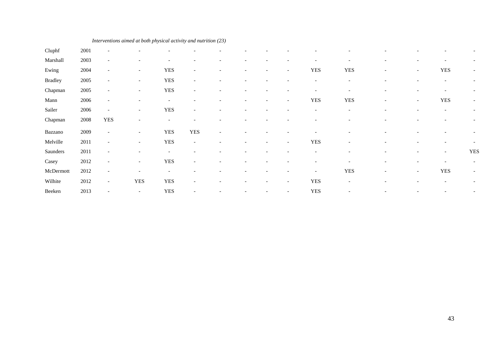| Cluphf         | 2001     |                          |                          |                          |                          |   |                          |                          |                          |                          |   |                          |            | $\overline{\phantom{a}}$ |
|----------------|----------|--------------------------|--------------------------|--------------------------|--------------------------|---|--------------------------|--------------------------|--------------------------|--------------------------|---|--------------------------|------------|--------------------------|
| Marshall       | 2003     | $\overline{\phantom{a}}$ |                          |                          |                          |   |                          |                          |                          |                          |   |                          |            |                          |
| Ewing          | 2004     | ۰                        | $\overline{\phantom{a}}$ | <b>YES</b>               | ۰                        |   |                          | $\overline{\phantom{0}}$ | <b>YES</b>               | <b>YES</b>               |   | $\overline{\phantom{a}}$ | <b>YES</b> | $\overline{\phantom{a}}$ |
| <b>Bradley</b> | $2005\,$ | $\overline{\phantom{a}}$ | $\overline{\phantom{a}}$ | <b>YES</b>               | $\overline{\phantom{a}}$ |   |                          |                          | $\overline{\phantom{a}}$ | $\overline{\phantom{a}}$ | ٠ | $\overline{\phantom{a}}$ |            | $\overline{\phantom{a}}$ |
| Chapman        | 2005     | $\overline{\phantom{0}}$ | $\overline{\phantom{a}}$ | <b>YES</b>               | $\overline{\phantom{a}}$ |   |                          |                          |                          | $\overline{\phantom{a}}$ |   |                          |            | $\overline{\phantom{a}}$ |
| Mann           | 2006     | $\overline{\phantom{a}}$ | $\overline{\phantom{0}}$ | $\overline{\phantom{a}}$ | ۰                        | ۰ | $\overline{\phantom{0}}$ | $\overline{\phantom{a}}$ | <b>YES</b>               | <b>YES</b>               |   | $\overline{\phantom{a}}$ | <b>YES</b> | $\overline{\phantom{a}}$ |
| Sailer         | 2006     | $\overline{\phantom{a}}$ | $\overline{\phantom{a}}$ | <b>YES</b>               | $\overline{\phantom{0}}$ |   |                          |                          |                          |                          |   |                          |            | $\overline{\phantom{a}}$ |
| Chapman        | 2008     | <b>YES</b>               | ۰                        |                          |                          |   |                          |                          |                          |                          |   |                          |            |                          |
| Bazzano        | 2009     | $\overline{\phantom{a}}$ | $\overline{\phantom{a}}$ | <b>YES</b>               | <b>YES</b>               |   |                          |                          |                          |                          |   |                          |            |                          |
| Melville       | 2011     | $\blacksquare$           | $\overline{\phantom{a}}$ | <b>YES</b>               | $\overline{\phantom{a}}$ |   |                          | $\overline{\phantom{a}}$ | <b>YES</b>               | $\overline{\phantom{a}}$ |   |                          |            | $\overline{\phantom{a}}$ |
| Saunders       | $2011\,$ | $\overline{\phantom{a}}$ | ۰                        | $\overline{\phantom{0}}$ |                          |   |                          |                          |                          |                          |   |                          |            | <b>YES</b>               |
| Casey          | 2012     | $\overline{\phantom{a}}$ | $\overline{\phantom{a}}$ | <b>YES</b>               | $\overline{\phantom{a}}$ |   |                          |                          |                          | $\overline{\phantom{0}}$ |   |                          |            | $\sim$                   |
| McDermott      | 2012     | $\overline{\phantom{a}}$ | $\overline{\phantom{a}}$ | $\overline{\phantom{a}}$ |                          |   |                          |                          | $\overline{\phantom{a}}$ | <b>YES</b>               |   | $\overline{\phantom{a}}$ | <b>YES</b> | $\overline{\phantom{a}}$ |
| Wilhite        | 2012     | $\overline{\phantom{a}}$ | <b>YES</b>               | <b>YES</b>               |                          |   |                          |                          | <b>YES</b>               |                          |   |                          |            |                          |
| Beeken         | 2013     |                          | $\overline{\phantom{a}}$ | <b>YES</b>               |                          |   |                          |                          | <b>YES</b>               |                          |   |                          |            |                          |

### *Interventions aimed at both physical activity and nutrition (23)*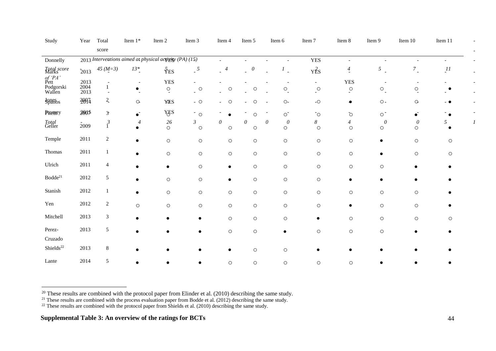| Study                                                  | Year                        | Total<br>score                          | Item 1*                                                           | Item 2                                                  | Item 3                     | Item 4         | Item 5                              |                       | Item 6               | Item 7                                  | Item 8                       | Item 9                           | Item 10             | Item 11   |  |
|--------------------------------------------------------|-----------------------------|-----------------------------------------|-------------------------------------------------------------------|---------------------------------------------------------|----------------------------|----------------|-------------------------------------|-----------------------|----------------------|-----------------------------------------|------------------------------|----------------------------------|---------------------|-----------|--|
| Donnelly                                               |                             |                                         |                                                                   | 2013 Interventions aimed at physical activity (PA) (15) |                            |                |                                     |                       |                      | <b>YES</b>                              |                              |                                  |                     |           |  |
| Total score<br>Marks                                   | 2013                        | $45 (M=3)$                              | $13*$<br>$\overline{\phantom{a}}$                                 | $\frac{5}{2}$ ES                                        | $\overline{\phantom{0}}^5$ | $\overline{4}$ | $\theta$                            |                       |                      | $Y\hat{E}S$                             | $\frac{4}{1}$                | 5                                | $7\overline{)}$     | $\_^{II}$ |  |
| $\det_{\text{Pett}}^{\text{f}}$<br>Podgorski<br>Wallen | 2013<br>$\frac{2004}{2013}$ | $\overline{\phantom{a}}$<br>1<br>$\sim$ | $\overline{\phantom{a}}$<br>$\bullet$<br>$\overline{\phantom{a}}$ | <b>YES</b><br>$\circ$                                   | $\circ$                    | $\circ$        | $\circ$                             |                       | $\circ$              | $\overline{\phantom{a}}$<br>$\circ$     | <b>YES</b><br>$\overline{O}$ | $\circ$                          | $\circ$             |           |  |
| <b>Sparios</b>                                         | 3094                        | $2 \nightharpoonup$                     | $\circlearrowright$                                               | YES                                                     | $-$ O                      | $\circ$        | $\circ$<br>$\overline{\phantom{0}}$ |                       | $O-$                 | $\mathord{\text{--}}\mathord{\text{O}}$ | $\bullet$                    | $\circ$ -                        | $\circ$             |           |  |
| Ptemey                                                 | 2005                        | $\mathfrak{F}$                          | $\bullet^\text{-}$                                                | YES                                                     | $\overline{\phantom{a}}$ o |                | $\circ$                             |                       | $\circ$ <sup>-</sup> | $\bar{\circ}$                           | Ō                            | $\circ$ $\overline{\phantom{a}}$ | $\bullet$           |           |  |
| Total<br>Geller                                        | 2009                        | $\frac{3}{1}$                           | 4                                                                 | 26<br>$\circ$                                           | $\mathfrak{Z}$<br>$\circ$  | 0<br>$\circ$   | $\theta$<br>$\circ$                 | $\boldsymbol{\theta}$ | $\theta$<br>$\circ$  | $\boldsymbol{8}$<br>$\circlearrowright$ | $\overline{4}$<br>$\circ$    | $\theta$<br>$\circ$              | $\theta$<br>$\circ$ | 5         |  |
| Temple                                                 | 2011                        | $\sqrt{2}$                              |                                                                   | $\circlearrowright$                                     | $\circ$                    | $\circ$        | $\circ$                             |                       | $\circ$              | $\circlearrowright$                     | $\circ$                      |                                  | $\circlearrowright$ | $\circ$   |  |
| Thomas                                                 | 2011                        | 1                                       |                                                                   | $\circ$                                                 | $\circ$                    | $\circ$        | $\circ$                             |                       | $\circ$              | $\circ$                                 | $\circ$                      |                                  | $\circlearrowright$ | $\circ$   |  |
| Ulrich                                                 | 2011                        | 4                                       |                                                                   |                                                         | $\circ$                    | ٠              | $\circ$                             |                       | $\circ$              | $\circlearrowright$                     | $\circ$                      | $\circ$                          |                     |           |  |
| Bodde <sup>21</sup>                                    | 2012                        | $\mathfrak{S}$                          | $\bullet$                                                         | $\circ$                                                 | $\circ$                    | $\bullet$      | $\circ$                             |                       | $\circ$              | $\circlearrowright$                     |                              |                                  |                     |           |  |
| Stanish                                                | 2012                        | 1                                       | $\bullet$                                                         | $\circlearrowright$                                     | $\circ$                    | $\circ$        | $\circ$                             |                       | $\circ$              | $\circlearrowright$                     | $\circ$                      | $\circ$                          | $\circ$             |           |  |
| Yen                                                    | 2012                        | $\sqrt{2}$                              | $\circ$                                                           | $\circ$                                                 | $\circ$                    | $\circ$        | $\circ$                             |                       | $\circ$              | $\circlearrowright$                     |                              | $\circ$                          | $\circlearrowright$ |           |  |
| Mitchell                                               | 2013                        | $\mathfrak{Z}$                          |                                                                   |                                                         |                            | $\circ$        | $\circ$                             |                       | $\circ$              |                                         | $\circ$                      | $\circ$                          | $\circ$             | $\circ$   |  |
| Perez-<br>Cruzado                                      | 2013                        | $\sqrt{5}$                              |                                                                   |                                                         |                            | $\circ$        | $\circ$                             |                       |                      | $\circlearrowright$                     | $\circ$                      | $\circ$                          |                     |           |  |
| Shields <sup>22</sup>                                  | 2013                        | $\,8\,$                                 |                                                                   |                                                         |                            |                | $\circ$                             |                       | $\circ$              |                                         |                              |                                  |                     |           |  |
| Lante                                                  | 2014                        | 5                                       |                                                                   |                                                         |                            | $\circ$        | $\circ$                             |                       | $\circ$              | $\circlearrowright$                     | $\circlearrowright$          |                                  |                     |           |  |

# **Supplemental Table 3: An overview of the ratings for BCTs**

 $\overline{a}$ 

<sup>&</sup>lt;sup>20</sup> These results are combined with the protocol paper from Elinder et al. (2010) describing the same study.

<sup>&</sup>lt;sup>21</sup> These results are combined with the process evaluation paper from Bodde et al. (2012) describing the same study.

 $22$  These results are combined with the protocol paper from Shields et al. (2010) describing the same study.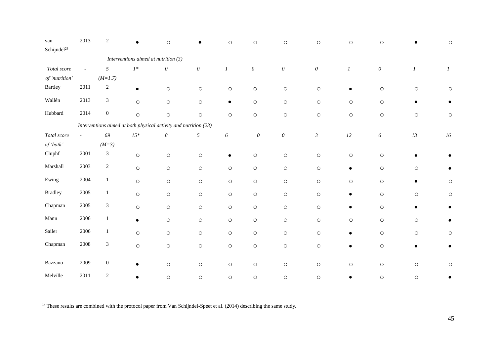| van<br>Schijndel <sup>23</sup> | 2013           | $\overline{2}$   |           | $\circlearrowright$                                              |                       | $\circ$             | $\circlearrowright$       | O                         | O                         | O                | $\circ$                   |                     | O                   |
|--------------------------------|----------------|------------------|-----------|------------------------------------------------------------------|-----------------------|---------------------|---------------------------|---------------------------|---------------------------|------------------|---------------------------|---------------------|---------------------|
|                                |                |                  |           | Interventions aimed at nutrition $(3)$                           |                       |                     |                           |                           |                           |                  |                           |                     |                     |
| Total score                    | $\blacksquare$ | 5                | $1*$      | $\boldsymbol{\mathit{0}}$                                        | $\boldsymbol{\theta}$ | 1                   | $\boldsymbol{\theta}$     | $\boldsymbol{\mathit{0}}$ | $\boldsymbol{\mathit{0}}$ | $\boldsymbol{l}$ | $\boldsymbol{\mathit{0}}$ | $\overline{I}$      | $\boldsymbol{l}$    |
| of 'nutrition'                 |                | $(M=1.7)$        |           |                                                                  |                       |                     |                           |                           |                           |                  |                           |                     |                     |
| <b>Bartley</b>                 | 2011           | $\overline{c}$   | $\bullet$ | $\circ$                                                          | $\circ$               | $\circ$             | $\circ$                   | $\circ$                   | $\circ$                   |                  | $\circ$                   | $\circ$             | $\circ$             |
| Wallén                         | 2013           | $\mathfrak{Z}$   | $\circ$   | $\circ$                                                          | $\circ$               | $\bullet$           | $\circ$                   | $\circ$                   | $\circ$                   | $\circ$          | $\circ$                   | $\epsilon$          |                     |
| Hubbard                        | 2014           | $\boldsymbol{0}$ | $\circ$   | $\circ$                                                          | $\circ$               | $\circ$             | $\circ$                   | $\circ$                   | $\bigcirc$                | $\circ$          | $\circ$                   | $\circ$             | $\circ$             |
|                                |                |                  |           | Interventions aimed at both physical activity and nutrition (23) |                       |                     |                           |                           |                           |                  |                           |                     |                     |
| Total score                    | $\sim$         | 69               | $15*$     | $\boldsymbol{8}$                                                 | $\sqrt{2}$            | $\epsilon$          | $\boldsymbol{\mathit{0}}$ | $\mathcal O$              | $\mathfrak{Z}$            | $12\,$           | 6                         | 13                  | 16                  |
| of 'both'                      |                | $(M=3)$          |           |                                                                  |                       |                     |                           |                           |                           |                  |                           |                     |                     |
| Cluphf                         | 2001           | $\mathfrak{Z}$   | $\circ$   | $\circ$                                                          | $\circ$               |                     | $\circ$                   | $\circ$                   | $\circ$                   | $\circ$          | $\circ$                   |                     |                     |
| Marshall                       | 2003           | $\sqrt{2}$       | $\circ$   | $\circ$                                                          | $\circ$               | $\circ$             | $\circ$                   | $\circ$                   | $\circ$                   |                  | $\circ$                   | $\circ$             |                     |
| Ewing                          | 2004           | $\mathbf{1}$     | $\circ$   | $\circ$                                                          | $\circ$               | $\circ$             | $\circ$                   | $\circ$                   | $\circ$                   | $\circ$          | $\circ$                   |                     | $\circ$             |
| <b>Bradley</b>                 | 2005           | $\mathbf{1}$     | $\circ$   | $\circ$                                                          | $\circ$               | $\circ$             | $\circ$                   | $\circ$                   | $\circ$                   |                  | $\circ$                   | $\circ$             | $\circ$             |
| Chapman                        | 2005           | $\mathfrak{Z}$   | $\circ$   | $\circ$                                                          | $\circ$               | $\circ$             | $\circ$                   | $\circ$                   | $\circ$                   |                  | $\circ$                   |                     |                     |
| Mann                           | 2006           | $\mathbf{1}$     | $\bullet$ | $\circ$                                                          | $\circ$               | $\circlearrowright$ | $\circ$                   | $\circ$                   | $\circ$                   | $\circ$          | $\circ$                   | $\circlearrowright$ |                     |
| Sailer                         | 2006           | $\mathbf{1}$     | $\circ$   | $\circ$                                                          | $\circ$               | $\circlearrowright$ | $\circ$                   | $\circlearrowright$       | $\circlearrowright$       |                  | $\circ$                   | $\circlearrowright$ | $\circlearrowright$ |
| Chapman                        | 2008           | $\sqrt{3}$       | $\circ$   | $\circ$                                                          | $\circ$               | $\circ$             | $\circ$                   | $\circ$                   | $\circ$                   |                  | $\circ$                   |                     |                     |
| Bazzano                        | 2009           | $\boldsymbol{0}$ |           | $\circ$                                                          | $\circ$               | $\circ$             | $\circ$                   | $\circ$                   | $\circ$                   | $\circ$          | $\circ$                   | $\circ$             | $\circlearrowright$ |
| Melville                       | 2011           | 2                |           | $\circ$                                                          | $\circ$               | $\circ$             | $\circ$                   | $\circ$                   | $\circ$                   |                  | $\circ$                   | $\circ$             |                     |

 $\overline{a}$ 

 $23$  These results are combined with the protocol paper from Van Schijndel-Speet et al. (2014) describing the same study.